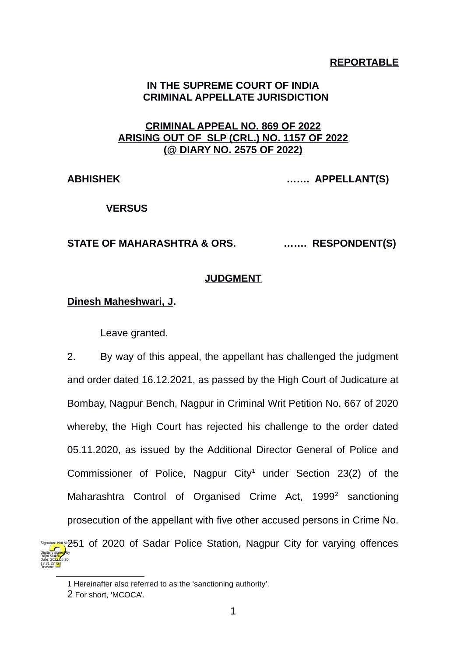## **REPORTABLE**

## **IN THE SUPREME COURT OF INDIA CRIMINAL APPELLATE JURISDICTION**

# **CRIMINAL APPEAL NO. 869 OF 2022 ARISING OUT OF SLP (CRL.) NO. 1157 OF 2022 (@ DIARY NO. 2575 OF 2022)**

**ABHISHEK ……. APPELLANT(S)**

 **VERSUS**

### **STATE OF MAHARASHTRA & ORS. ……. RESPONDENT(S)**

### **JUDGMENT**

## **Dinesh Maheshwari, J.**

Leave granted.

2. By way of this appeal, the appellant has challenged the judgment and order dated 16.12.2021, as passed by the High Court of Judicature at Bombay, Nagpur Bench, Nagpur in Criminal Writ Petition No. 667 of 2020 whereby, the High Court has rejected his challenge to the order dated 05.11.2020, as issued by the Additional Director General of Police and Commissioner of Police, Nagpur City<sup>[1](#page-0-0)</sup> under Section 23(2) of the Maharashtra Control of Organised Crime Act, 1999<sup>[2](#page-0-1)</sup> sanctioning prosecution of the appellant with five other accused persons in Crime No. Signature Not Ve251 of 2020 of Sadar Police Station, Nagpur City for varying offences Digitally signed by Date: 2022.05.20

Rajni Mukhi

18:31:27 IST Reason:

<span id="page-0-0"></span><sup>1</sup> Hereinafter also referred to as the 'sanctioning authority'.

<span id="page-0-1"></span><sup>2</sup> For short, 'MCOCA'.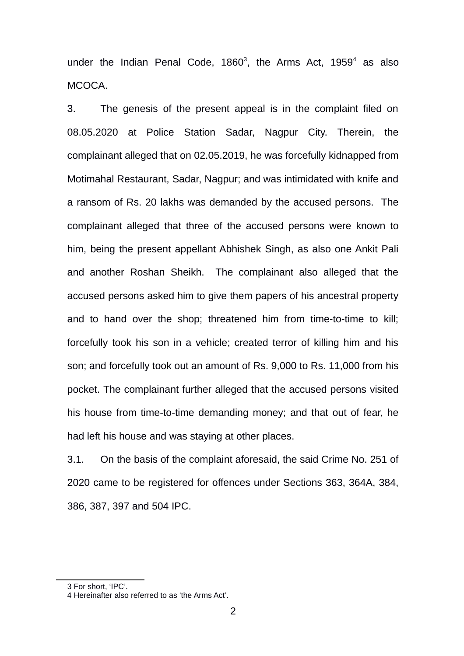under the Indian Penal Code,  $1860^3$  $1860^3$ , the Arms Act,  $1959^4$  $1959^4$  as also MCOCA.

3. The genesis of the present appeal is in the complaint filed on 08.05.2020 at Police Station Sadar, Nagpur City. Therein, the complainant alleged that on 02.05.2019, he was forcefully kidnapped from Motimahal Restaurant, Sadar, Nagpur; and was intimidated with knife and a ransom of Rs. 20 lakhs was demanded by the accused persons. The complainant alleged that three of the accused persons were known to him, being the present appellant Abhishek Singh, as also one Ankit Pali and another Roshan Sheikh. The complainant also alleged that the accused persons asked him to give them papers of his ancestral property and to hand over the shop; threatened him from time-to-time to kill; forcefully took his son in a vehicle; created terror of killing him and his son; and forcefully took out an amount of Rs. 9,000 to Rs. 11,000 from his pocket. The complainant further alleged that the accused persons visited his house from time-to-time demanding money; and that out of fear, he had left his house and was staying at other places.

3.1. On the basis of the complaint aforesaid, the said Crime No. 251 of 2020 came to be registered for offences under Sections 363, 364A, 384, 386, 387, 397 and 504 IPC.

<span id="page-1-0"></span><sup>3</sup> For short, 'IPC'.

<span id="page-1-1"></span><sup>4</sup> Hereinafter also referred to as 'the Arms Act'.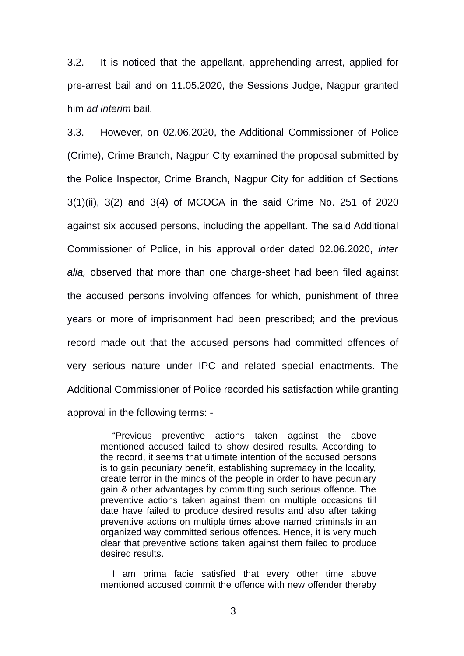3.2. It is noticed that the appellant, apprehending arrest, applied for pre-arrest bail and on 11.05.2020, the Sessions Judge, Nagpur granted him *ad interim* bail.

3.3. However, on 02.06.2020, the Additional Commissioner of Police (Crime), Crime Branch, Nagpur City examined the proposal submitted by the Police Inspector, Crime Branch, Nagpur City for addition of Sections 3(1)(ii), 3(2) and 3(4) of MCOCA in the said Crime No. 251 of 2020 against six accused persons, including the appellant. The said Additional Commissioner of Police, in his approval order dated 02.06.2020, *inter alia,* observed that more than one charge-sheet had been filed against the accused persons involving offences for which, punishment of three years or more of imprisonment had been prescribed; and the previous record made out that the accused persons had committed offences of very serious nature under IPC and related special enactments. The Additional Commissioner of Police recorded his satisfaction while granting approval in the following terms: -

"Previous preventive actions taken against the above mentioned accused failed to show desired results. According to the record, it seems that ultimate intention of the accused persons is to gain pecuniary benefit, establishing supremacy in the locality, create terror in the minds of the people in order to have pecuniary gain & other advantages by committing such serious offence. The preventive actions taken against them on multiple occasions till date have failed to produce desired results and also after taking preventive actions on multiple times above named criminals in an organized way committed serious offences. Hence, it is very much clear that preventive actions taken against them failed to produce desired results.

I am prima facie satisfied that every other time above mentioned accused commit the offence with new offender thereby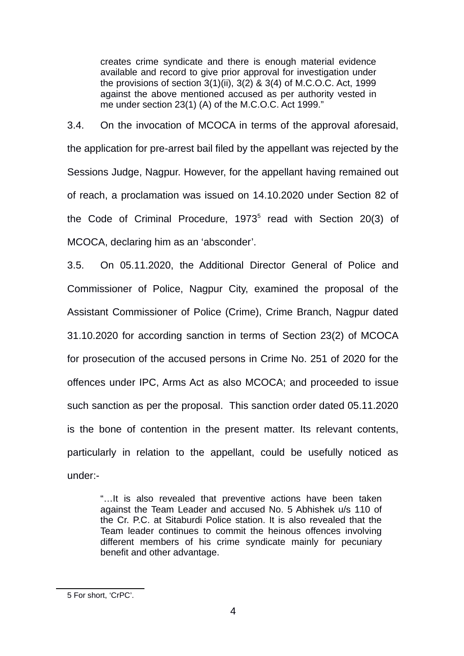creates crime syndicate and there is enough material evidence available and record to give prior approval for investigation under the provisions of section 3(1)(ii), 3(2) & 3(4) of M.C.O.C. Act, 1999 against the above mentioned accused as per authority vested in me under section 23(1) (A) of the M.C.O.C. Act 1999."

3.4. On the invocation of MCOCA in terms of the approval aforesaid, the application for pre-arrest bail filed by the appellant was rejected by the Sessions Judge, Nagpur. However, for the appellant having remained out of reach, a proclamation was issued on 14.10.2020 under Section 82 of the Code of Criminal Procedure, 1973<sup>[5](#page-3-0)</sup> read with Section 20(3) of MCOCA, declaring him as an 'absconder'.

3.5. On 05.11.2020, the Additional Director General of Police and Commissioner of Police, Nagpur City, examined the proposal of the Assistant Commissioner of Police (Crime), Crime Branch, Nagpur dated 31.10.2020 for according sanction in terms of Section 23(2) of MCOCA for prosecution of the accused persons in Crime No. 251 of 2020 for the offences under IPC, Arms Act as also MCOCA; and proceeded to issue such sanction as per the proposal. This sanction order dated 05.11.2020 is the bone of contention in the present matter. Its relevant contents, particularly in relation to the appellant, could be usefully noticed as under:-

"…It is also revealed that preventive actions have been taken against the Team Leader and accused No. 5 Abhishek u/s 110 of the Cr. P.C. at Sitaburdi Police station. It is also revealed that the Team leader continues to commit the heinous offences involving different members of his crime syndicate mainly for pecuniary benefit and other advantage.

<span id="page-3-0"></span><sup>5</sup> For short, 'CrPC'.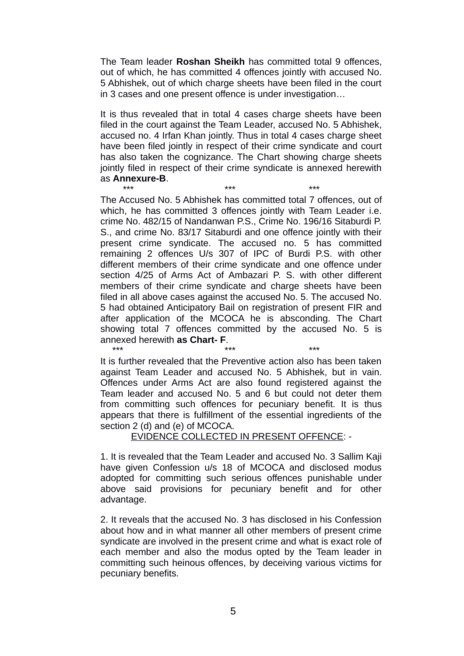The Team leader **Roshan Sheikh** has committed total 9 offences, out of which, he has committed 4 offences jointly with accused No. 5 Abhishek, out of which charge sheets have been filed in the court in 3 cases and one present offence is under investigation…

It is thus revealed that in total 4 cases charge sheets have been filed in the court against the Team Leader, accused No. 5 Abhishek, accused no. 4 Irfan Khan jointly. Thus in total 4 cases charge sheet have been filed jointly in respect of their crime syndicate and court has also taken the cognizance. The Chart showing charge sheets jointly filed in respect of their crime syndicate is annexed herewith as **Annexure-B**.

\*\*\* \*\*\* \*\*\* The Accused No. 5 Abhishek has committed total 7 offences, out of which, he has committed 3 offences jointly with Team Leader i.e. crime No. 482/15 of Nandanwan P.S., Crime No. 196/16 Sitaburdi P. S., and crime No. 83/17 Sitaburdi and one offence jointly with their present crime syndicate. The accused no. 5 has committed remaining 2 offences U/s 307 of IPC of Burdi P.S. with other different members of their crime syndicate and one offence under section 4/25 of Arms Act of Ambazari P. S. with other different members of their crime syndicate and charge sheets have been filed in all above cases against the accused No. 5. The accused No. 5 had obtained Anticipatory Bail on registration of present FIR and after application of the MCOCA he is absconding. The Chart showing total 7 offences committed by the accused No. 5 is annexed herewith **as Chart- F**.

\*\*\* \*\*\* \*\*\* It is further revealed that the Preventive action also has been taken against Team Leader and accused No. 5 Abhishek, but in vain. Offences under Arms Act are also found registered against the Team leader and accused No. 5 and 6 but could not deter them from committing such offences for pecuniary benefit. It is thus appears that there is fulfillment of the essential ingredients of the section 2 (d) and (e) of MCOCA.

#### EVIDENCE COLLECTED IN PRESENT OFFENCE: -

1. It is revealed that the Team Leader and accused No. 3 Sallim Kaji have given Confession u/s 18 of MCOCA and disclosed modus adopted for committing such serious offences punishable under above said provisions for pecuniary benefit and for other advantage.

2. It reveals that the accused No. 3 has disclosed in his Confession about how and in what manner all other members of present crime syndicate are involved in the present crime and what is exact role of each member and also the modus opted by the Team leader in committing such heinous offences, by deceiving various victims for pecuniary benefits.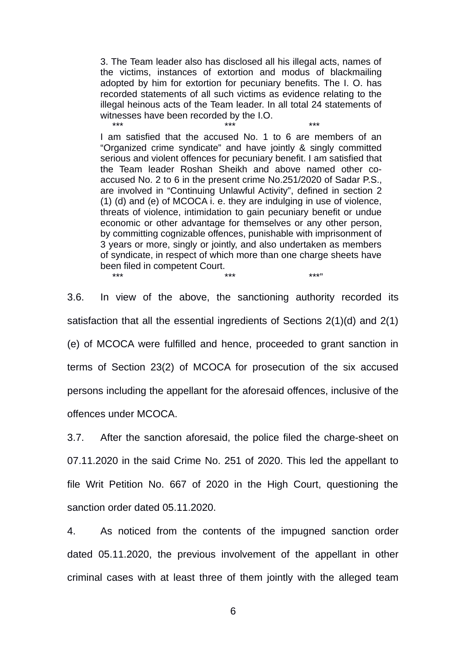3. The Team leader also has disclosed all his illegal acts, names of the victims, instances of extortion and modus of blackmailing adopted by him for extortion for pecuniary benefits. The I. O. has recorded statements of all such victims as evidence relating to the illegal heinous acts of the Team leader. In all total 24 statements of witnesses have been recorded by the I.O.

\*\*\* \*\*\* \*\*\* I am satisfied that the accused No. 1 to 6 are members of an "Organized crime syndicate" and have jointly & singly committed serious and violent offences for pecuniary benefit. I am satisfied that the Team leader Roshan Sheikh and above named other coaccused No. 2 to 6 in the present crime No.251/2020 of Sadar P.S., are involved in "Continuing Unlawful Activity", defined in section 2 (1) (d) and (e) of MCOCA i. e. they are indulging in use of violence, threats of violence, intimidation to gain pecuniary benefit or undue economic or other advantage for themselves or any other person, by committing cognizable offences, punishable with imprisonment of 3 years or more, singly or jointly, and also undertaken as members of syndicate, in respect of which more than one charge sheets have been filed in competent Court. \*\*\* \*\*\* \*\*\*"

3.6. In view of the above, the sanctioning authority recorded its satisfaction that all the essential ingredients of Sections 2(1)(d) and 2(1) (e) of MCOCA were fulfilled and hence, proceeded to grant sanction in terms of Section 23(2) of MCOCA for prosecution of the six accused persons including the appellant for the aforesaid offences, inclusive of the offences under MCOCA.

3.7. After the sanction aforesaid, the police filed the charge-sheet on 07.11.2020 in the said Crime No. 251 of 2020. This led the appellant to file Writ Petition No. 667 of 2020 in the High Court, questioning the sanction order dated 05.11.2020.

4. As noticed from the contents of the impugned sanction order dated 05.11.2020, the previous involvement of the appellant in other criminal cases with at least three of them jointly with the alleged team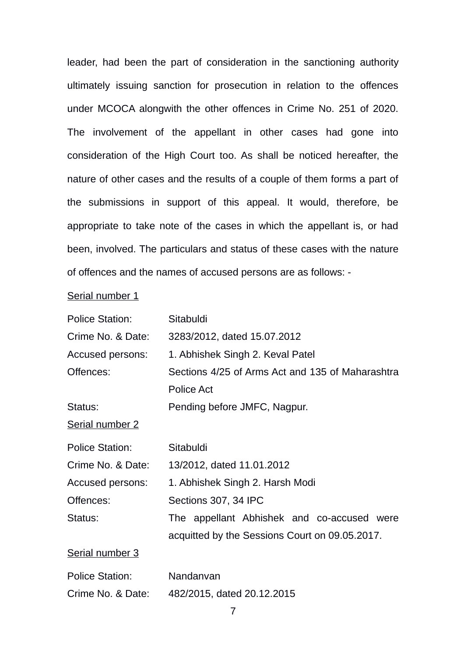leader, had been the part of consideration in the sanctioning authority ultimately issuing sanction for prosecution in relation to the offences under MCOCA alongwith the other offences in Crime No. 251 of 2020. The involvement of the appellant in other cases had gone into consideration of the High Court too. As shall be noticed hereafter, the nature of other cases and the results of a couple of them forms a part of the submissions in support of this appeal. It would, therefore, be appropriate to take note of the cases in which the appellant is, or had been, involved. The particulars and status of these cases with the nature of offences and the names of accused persons are as follows: -

Serial number 1

| <b>Police Station:</b> | Sitabuldi                                        |
|------------------------|--------------------------------------------------|
| Crime No. & Date:      | 3283/2012, dated 15.07.2012                      |
| Accused persons:       | 1. Abhishek Singh 2. Keval Patel                 |
| Offences:              | Sections 4/25 of Arms Act and 135 of Maharashtra |
|                        | Police Act                                       |
| Status:                | Pending before JMFC, Nagpur.                     |
| <b>Serial number 2</b> |                                                  |
| <b>Police Station:</b> | Sitabuldi                                        |
| Crime No. & Date:      | 13/2012, dated 11.01.2012                        |
| Accused persons:       | 1. Abhishek Singh 2. Harsh Modi                  |
| Offences:              | Sections 307, 34 IPC                             |

Status: The appellant Abhishek and co-accused were acquitted by the Sessions Court on 09.05.2017.

Serial number 3

| <b>Police Station:</b> | Nandanvan                  |
|------------------------|----------------------------|
| Crime No. & Date:      | 482/2015, dated 20.12.2015 |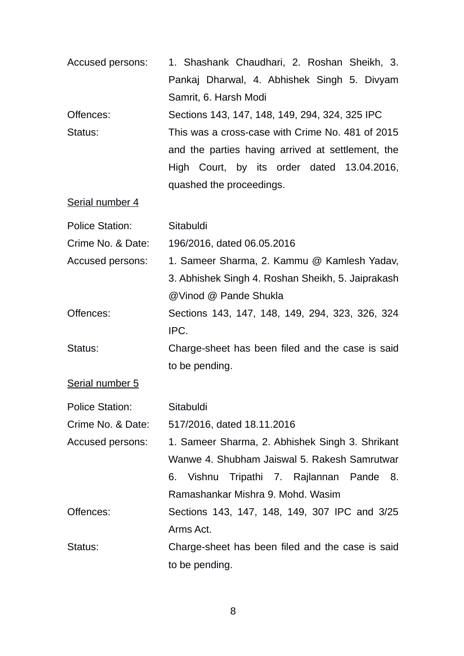| Accused persons:       | 1. Shashank Chaudhari, 2. Roshan Sheikh, 3.       |
|------------------------|---------------------------------------------------|
|                        | Pankaj Dharwal, 4. Abhishek Singh 5. Divyam       |
|                        | Samrit, 6. Harsh Modi                             |
| Offences:              | Sections 143, 147, 148, 149, 294, 324, 325 IPC    |
| Status:                | This was a cross-case with Crime No. 481 of 2015  |
|                        | and the parties having arrived at settlement, the |
|                        | High Court, by its order dated 13.04.2016,        |
|                        | quashed the proceedings.                          |
| Serial number 4        |                                                   |
| <b>Police Station:</b> | Sitabuldi                                         |
| Crime No. & Date:      | 196/2016, dated 06.05.2016                        |
| Accused persons:       | 1. Sameer Sharma, 2. Kammu @ Kamlesh Yadav,       |
|                        | 3. Abhishek Singh 4. Roshan Sheikh, 5. Jaiprakash |
|                        | @Vinod @ Pande Shukla                             |
| Offences:              | Sections 143, 147, 148, 149, 294, 323, 326, 324   |
|                        | IPC.                                              |
| Status:                | Charge-sheet has been filed and the case is said  |
|                        | to be pending.                                    |
| Serial number 5        |                                                   |
| <b>Police Station:</b> | Sitabuldi                                         |
| Crime No. & Date:      | 517/2016, dated 18.11.2016                        |
| Accused persons:       | 1. Sameer Sharma, 2. Abhishek Singh 3. Shrikant   |
|                        | Wanwe 4. Shubham Jaiswal 5. Rakesh Samrutwar      |
|                        | Vishnu Tripathi 7. Rajlannan Pande 8.<br>6.       |
|                        | Ramashankar Mishra 9. Mohd. Wasim                 |
| Offences:              | Sections 143, 147, 148, 149, 307 IPC and 3/25     |
|                        | Arms Act.                                         |
| Status:                | Charge-sheet has been filed and the case is said  |
|                        | to be pending.                                    |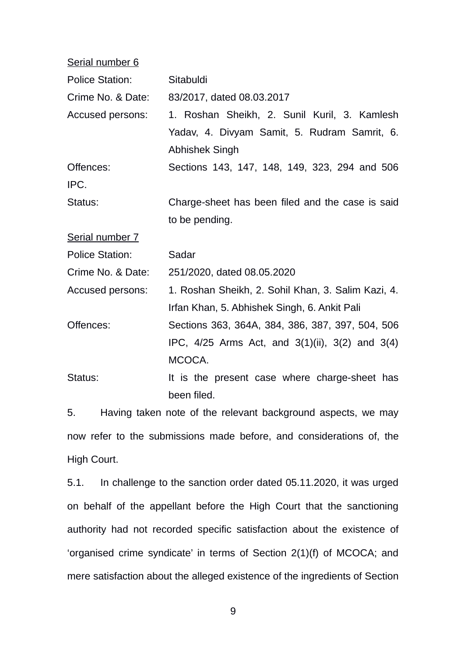| Serial number 6        |                                                          |
|------------------------|----------------------------------------------------------|
| <b>Police Station:</b> | Sitabuldi                                                |
| Crime No. & Date:      | 83/2017, dated 08.03.2017                                |
| Accused persons:       | 1. Roshan Sheikh, 2. Sunil Kuril, 3. Kamlesh             |
|                        | Yadav, 4. Divyam Samit, 5. Rudram Samrit, 6.             |
|                        | Abhishek Singh                                           |
| Offences:              | Sections 143, 147, 148, 149, 323, 294 and 506            |
| IPC.                   |                                                          |
| Status:                | Charge-sheet has been filed and the case is said         |
|                        | to be pending.                                           |
| Serial number 7        |                                                          |
| <b>Police Station:</b> | Sadar                                                    |
| Crime No. & Date:      | 251/2020, dated 08.05.2020                               |
| Accused persons:       | 1. Roshan Sheikh, 2. Sohil Khan, 3. Salim Kazi, 4.       |
|                        | Irfan Khan, 5. Abhishek Singh, 6. Ankit Pali             |
| Offences:              | Sections 363, 364A, 384, 386, 387, 397, 504, 506         |
|                        | IPC, $4/25$ Arms Act, and $3(1)(ii)$ , $3(2)$ and $3(4)$ |
|                        | MCOCA.                                                   |
| Status:                | It is the present case where charge-sheet has            |
|                        | been filed.                                              |
|                        |                                                          |

5. Having taken note of the relevant background aspects, we may now refer to the submissions made before, and considerations of, the High Court.

5.1. In challenge to the sanction order dated 05.11.2020, it was urged on behalf of the appellant before the High Court that the sanctioning authority had not recorded specific satisfaction about the existence of 'organised crime syndicate' in terms of Section 2(1)(f) of MCOCA; and mere satisfaction about the alleged existence of the ingredients of Section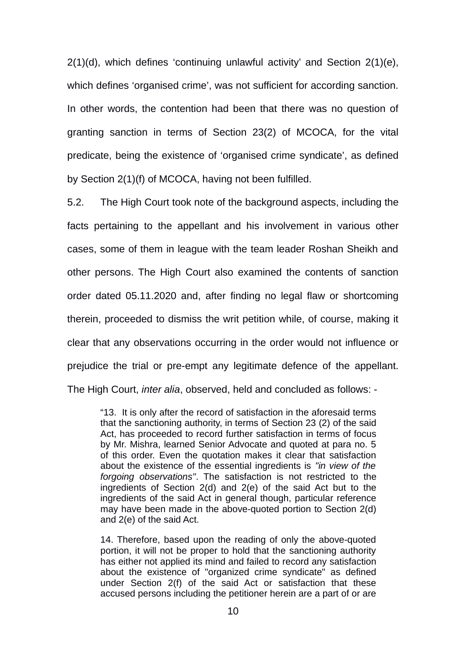2(1)(d), which defines 'continuing unlawful activity' and Section 2(1)(e), which defines 'organised crime', was not sufficient for according sanction. In other words, the contention had been that there was no question of granting sanction in terms of Section 23(2) of MCOCA, for the vital predicate, being the existence of 'organised crime syndicate', as defined by Section 2(1)(f) of MCOCA, having not been fulfilled.

5.2. The High Court took note of the background aspects, including the facts pertaining to the appellant and his involvement in various other cases, some of them in league with the team leader Roshan Sheikh and other persons. The High Court also examined the contents of sanction order dated 05.11.2020 and, after finding no legal flaw or shortcoming therein, proceeded to dismiss the writ petition while, of course, making it clear that any observations occurring in the order would not influence or prejudice the trial or pre-empt any legitimate defence of the appellant. The High Court, *inter alia*, observed, held and concluded as follows: -

"13. It is only after the record of satisfaction in the aforesaid terms that the sanctioning authority, in terms of Section 23 (2) of the said Act, has proceeded to record further satisfaction in terms of focus by Mr. Mishra, learned Senior Advocate and quoted at para no. 5 of this order. Even the quotation makes it clear that satisfaction about the existence of the essential ingredients is *"in view of the forgoing observations"*. The satisfaction is not restricted to the ingredients of Section 2(d) and 2(e) of the said Act but to the ingredients of the said Act in general though, particular reference may have been made in the above-quoted portion to Section 2(d) and 2(e) of the said Act.

14. Therefore, based upon the reading of only the above-quoted portion, it will not be proper to hold that the sanctioning authority has either not applied its mind and failed to record any satisfaction about the existence of "organized crime syndicate" as defined under Section 2(f) of the said Act or satisfaction that these accused persons including the petitioner herein are a part of or are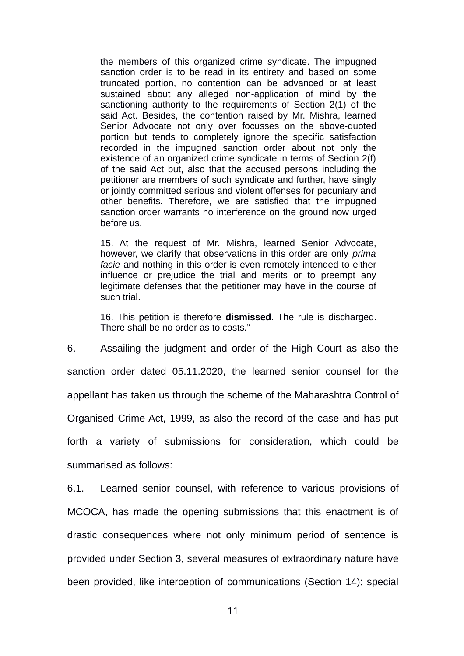the members of this organized crime syndicate. The impugned sanction order is to be read in its entirety and based on some truncated portion, no contention can be advanced or at least sustained about any alleged non-application of mind by the sanctioning authority to the requirements of Section 2(1) of the said Act. Besides, the contention raised by Mr. Mishra, learned Senior Advocate not only over focusses on the above-quoted portion but tends to completely ignore the specific satisfaction recorded in the impugned sanction order about not only the existence of an organized crime syndicate in terms of Section 2(f) of the said Act but, also that the accused persons including the petitioner are members of such syndicate and further, have singly or jointly committed serious and violent offenses for pecuniary and other benefits. Therefore, we are satisfied that the impugned sanction order warrants no interference on the ground now urged before us.

15. At the request of Mr. Mishra, learned Senior Advocate, however, we clarify that observations in this order are only *prima facie* and nothing in this order is even remotely intended to either influence or prejudice the trial and merits or to preempt any legitimate defenses that the petitioner may have in the course of such trial.

16. This petition is therefore **dismissed**. The rule is discharged. There shall be no order as to costs."

6. Assailing the judgment and order of the High Court as also the sanction order dated 05.11.2020, the learned senior counsel for the appellant has taken us through the scheme of the Maharashtra Control of Organised Crime Act, 1999, as also the record of the case and has put forth a variety of submissions for consideration, which could be summarised as follows:

6.1. Learned senior counsel, with reference to various provisions of MCOCA, has made the opening submissions that this enactment is of drastic consequences where not only minimum period of sentence is provided under Section 3, several measures of extraordinary nature have been provided, like interception of communications (Section 14); special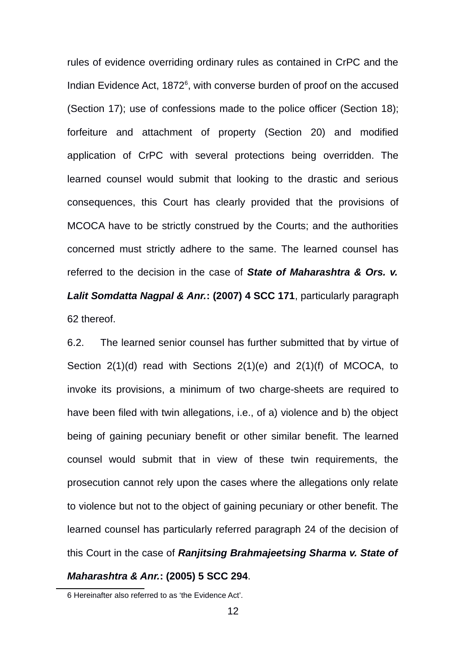rules of evidence overriding ordinary rules as contained in CrPC and the Indian Evidence Act, 1872<sup>[6](#page-11-0)</sup>, with converse burden of proof on the accused (Section 17); use of confessions made to the police officer (Section 18); forfeiture and attachment of property (Section 20) and modified application of CrPC with several protections being overridden. The learned counsel would submit that looking to the drastic and serious consequences, this Court has clearly provided that the provisions of MCOCA have to be strictly construed by the Courts; and the authorities concerned must strictly adhere to the same. The learned counsel has referred to the decision in the case of *State of Maharashtra & Ors. v. Lalit Somdatta Nagpal & Anr.***: (2007) 4 SCC 171**, particularly paragraph 62 thereof.

6.2. The learned senior counsel has further submitted that by virtue of Section 2(1)(d) read with Sections 2(1)(e) and 2(1)(f) of MCOCA, to invoke its provisions, a minimum of two charge-sheets are required to have been filed with twin allegations, i.e., of a) violence and b) the object being of gaining pecuniary benefit or other similar benefit. The learned counsel would submit that in view of these twin requirements, the prosecution cannot rely upon the cases where the allegations only relate to violence but not to the object of gaining pecuniary or other benefit. The learned counsel has particularly referred paragraph 24 of the decision of this Court in the case of *Ranjitsing Brahmajeetsing Sharma v. State of*

# *Maharashtra & Anr.***: (2005) 5 SCC 294**.

<span id="page-11-0"></span><sup>6</sup> Hereinafter also referred to as 'the Evidence Act'.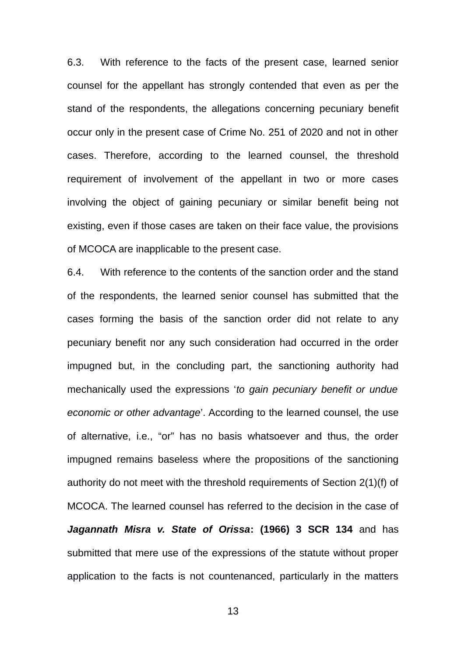6.3. With reference to the facts of the present case, learned senior counsel for the appellant has strongly contended that even as per the stand of the respondents, the allegations concerning pecuniary benefit occur only in the present case of Crime No. 251 of 2020 and not in other cases. Therefore, according to the learned counsel, the threshold requirement of involvement of the appellant in two or more cases involving the object of gaining pecuniary or similar benefit being not existing, even if those cases are taken on their face value, the provisions of MCOCA are inapplicable to the present case.

6.4. With reference to the contents of the sanction order and the stand of the respondents, the learned senior counsel has submitted that the cases forming the basis of the sanction order did not relate to any pecuniary benefit nor any such consideration had occurred in the order impugned but, in the concluding part, the sanctioning authority had mechanically used the expressions '*to gain pecuniary benefit or undue economic or other advantage*'. According to the learned counsel, the use of alternative, i.e., "or" has no basis whatsoever and thus, the order impugned remains baseless where the propositions of the sanctioning authority do not meet with the threshold requirements of Section 2(1)(f) of MCOCA. The learned counsel has referred to the decision in the case of *Jagannath Misra v. State of Orissa***: (1966) 3 SCR 134** and has submitted that mere use of the expressions of the statute without proper application to the facts is not countenanced, particularly in the matters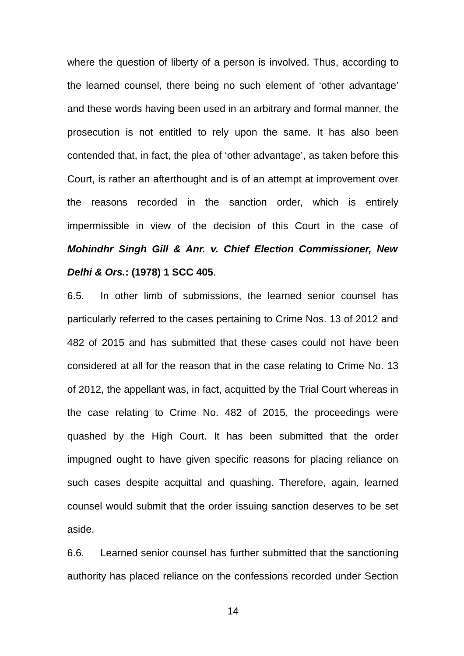where the question of liberty of a person is involved. Thus, according to the learned counsel, there being no such element of 'other advantage' and these words having been used in an arbitrary and formal manner, the prosecution is not entitled to rely upon the same. It has also been contended that, in fact, the plea of 'other advantage', as taken before this Court, is rather an afterthought and is of an attempt at improvement over the reasons recorded in the sanction order, which is entirely impermissible in view of the decision of this Court in the case of *Mohindhr Singh Gill & Anr. v. Chief Election Commissioner, New Delhi & Ors.***: (1978) 1 SCC 405**.

6.5. In other limb of submissions, the learned senior counsel has particularly referred to the cases pertaining to Crime Nos. 13 of 2012 and 482 of 2015 and has submitted that these cases could not have been considered at all for the reason that in the case relating to Crime No. 13 of 2012, the appellant was, in fact, acquitted by the Trial Court whereas in the case relating to Crime No. 482 of 2015, the proceedings were quashed by the High Court. It has been submitted that the order impugned ought to have given specific reasons for placing reliance on such cases despite acquittal and quashing. Therefore, again, learned counsel would submit that the order issuing sanction deserves to be set aside.

6.6. Learned senior counsel has further submitted that the sanctioning authority has placed reliance on the confessions recorded under Section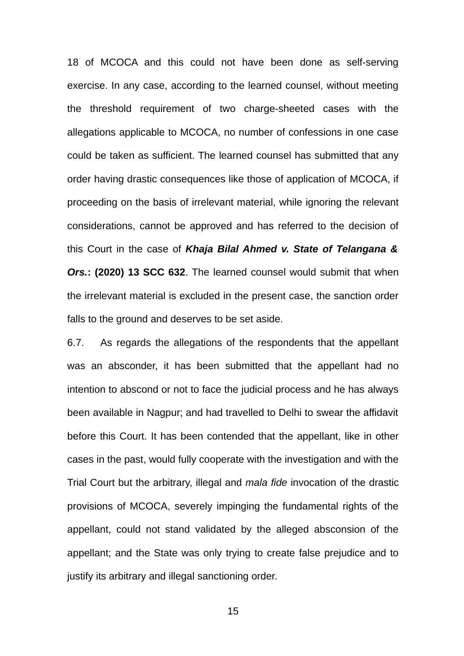18 of MCOCA and this could not have been done as self-serving exercise. In any case, according to the learned counsel, without meeting the threshold requirement of two charge-sheeted cases with the allegations applicable to MCOCA, no number of confessions in one case could be taken as sufficient. The learned counsel has submitted that any order having drastic consequences like those of application of MCOCA, if proceeding on the basis of irrelevant material, while ignoring the relevant considerations, cannot be approved and has referred to the decision of this Court in the case of *Khaja Bilal Ahmed v. State of Telangana & Ors.***: (2020) 13 SCC 632**. The learned counsel would submit that when the irrelevant material is excluded in the present case, the sanction order falls to the ground and deserves to be set aside.

6.7. As regards the allegations of the respondents that the appellant was an absconder, it has been submitted that the appellant had no intention to abscond or not to face the judicial process and he has always been available in Nagpur; and had travelled to Delhi to swear the affidavit before this Court. It has been contended that the appellant, like in other cases in the past, would fully cooperate with the investigation and with the Trial Court but the arbitrary, illegal and *mala fide* invocation of the drastic provisions of MCOCA, severely impinging the fundamental rights of the appellant, could not stand validated by the alleged absconsion of the appellant; and the State was only trying to create false prejudice and to justify its arbitrary and illegal sanctioning order.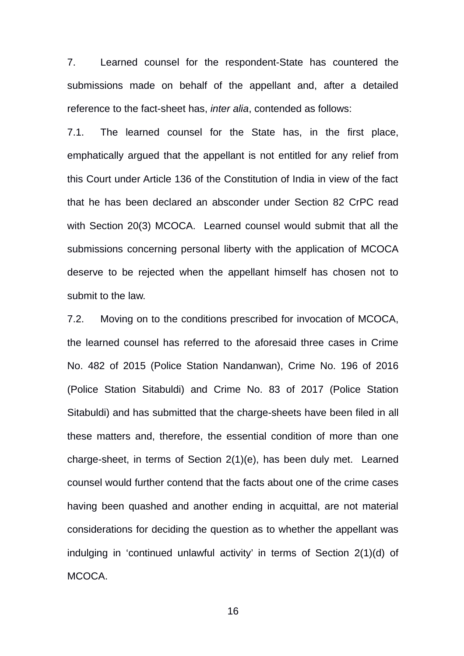7. Learned counsel for the respondent-State has countered the submissions made on behalf of the appellant and, after a detailed reference to the fact-sheet has, *inter alia*, contended as follows:

7.1. The learned counsel for the State has, in the first place, emphatically argued that the appellant is not entitled for any relief from this Court under Article 136 of the Constitution of India in view of the fact that he has been declared an absconder under Section 82 CrPC read with Section 20(3) MCOCA. Learned counsel would submit that all the submissions concerning personal liberty with the application of MCOCA deserve to be rejected when the appellant himself has chosen not to submit to the law.

7.2. Moving on to the conditions prescribed for invocation of MCOCA, the learned counsel has referred to the aforesaid three cases in Crime No. 482 of 2015 (Police Station Nandanwan), Crime No. 196 of 2016 (Police Station Sitabuldi) and Crime No. 83 of 2017 (Police Station Sitabuldi) and has submitted that the charge-sheets have been filed in all these matters and, therefore, the essential condition of more than one charge-sheet, in terms of Section 2(1)(e), has been duly met. Learned counsel would further contend that the facts about one of the crime cases having been quashed and another ending in acquittal, are not material considerations for deciding the question as to whether the appellant was indulging in 'continued unlawful activity' in terms of Section 2(1)(d) of MCOCA.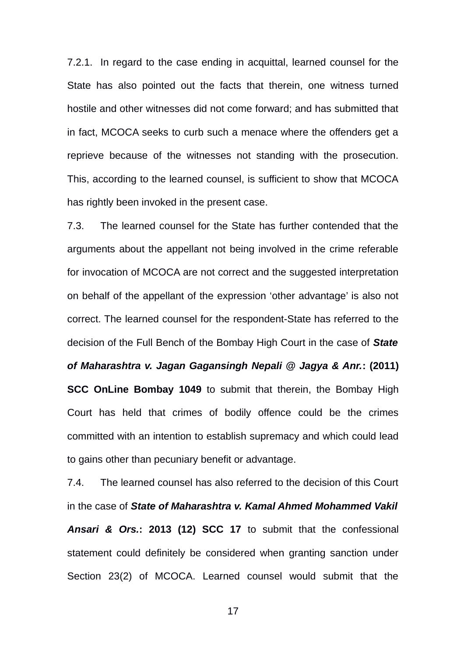7.2.1. In regard to the case ending in acquittal, learned counsel for the State has also pointed out the facts that therein, one witness turned hostile and other witnesses did not come forward; and has submitted that in fact, MCOCA seeks to curb such a menace where the offenders get a reprieve because of the witnesses not standing with the prosecution. This, according to the learned counsel, is sufficient to show that MCOCA has rightly been invoked in the present case.

7.3. The learned counsel for the State has further contended that the arguments about the appellant not being involved in the crime referable for invocation of MCOCA are not correct and the suggested interpretation on behalf of the appellant of the expression 'other advantage' is also not correct. The learned counsel for the respondent-State has referred to the decision of the Full Bench of the Bombay High Court in the case of *State of Maharashtra v. Jagan Gagansingh Nepali @ Jagya & Anr.***: (2011) SCC OnLine Bombay 1049** to submit that therein, the Bombay High Court has held that crimes of bodily offence could be the crimes committed with an intention to establish supremacy and which could lead to gains other than pecuniary benefit or advantage.

7.4. The learned counsel has also referred to the decision of this Court in the case of *State of Maharashtra v. Kamal Ahmed Mohammed Vakil Ansari & Ors.***: 2013 (12) SCC 17** to submit that the confessional statement could definitely be considered when granting sanction under Section 23(2) of MCOCA. Learned counsel would submit that the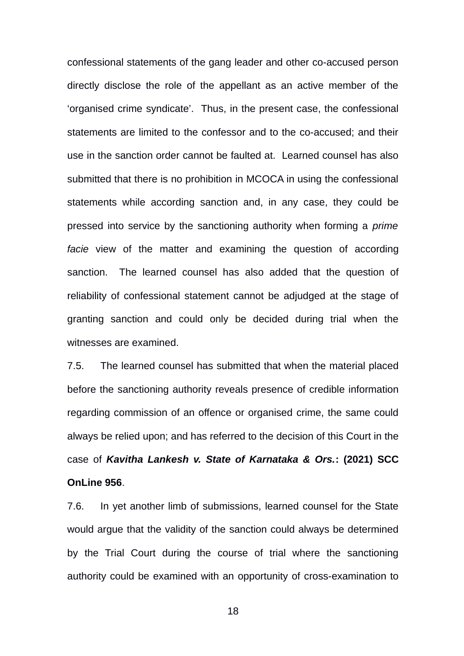confessional statements of the gang leader and other co-accused person directly disclose the role of the appellant as an active member of the 'organised crime syndicate'. Thus, in the present case, the confessional statements are limited to the confessor and to the co-accused; and their use in the sanction order cannot be faulted at. Learned counsel has also submitted that there is no prohibition in MCOCA in using the confessional statements while according sanction and, in any case, they could be pressed into service by the sanctioning authority when forming a *prime facie* view of the matter and examining the question of according sanction. The learned counsel has also added that the question of reliability of confessional statement cannot be adjudged at the stage of granting sanction and could only be decided during trial when the witnesses are examined.

7.5. The learned counsel has submitted that when the material placed before the sanctioning authority reveals presence of credible information regarding commission of an offence or organised crime, the same could always be relied upon; and has referred to the decision of this Court in the case of *Kavitha Lankesh v. State of Karnataka & Ors.***: (2021) SCC OnLine 956**.

7.6. In yet another limb of submissions, learned counsel for the State would argue that the validity of the sanction could always be determined by the Trial Court during the course of trial where the sanctioning authority could be examined with an opportunity of cross-examination to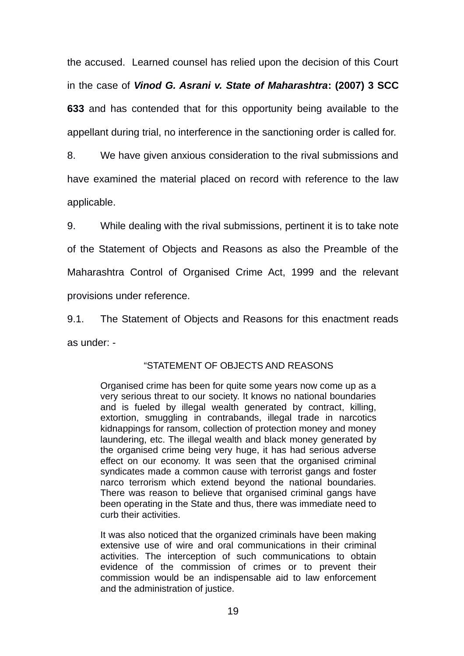the accused. Learned counsel has relied upon the decision of this Court in the case of *Vinod G. Asrani v. State of Maharashtra***: (2007) 3 SCC 633** and has contended that for this opportunity being available to the appellant during trial, no interference in the sanctioning order is called for.

8. We have given anxious consideration to the rival submissions and have examined the material placed on record with reference to the law applicable.

9. While dealing with the rival submissions, pertinent it is to take note of the Statement of Objects and Reasons as also the Preamble of the Maharashtra Control of Organised Crime Act, 1999 and the relevant provisions under reference.

9.1. The Statement of Objects and Reasons for this enactment reads as under: -

## "STATEMENT OF OBJECTS AND REASONS

Organised crime has been for quite some years now come up as a very serious threat to our society. It knows no national boundaries and is fueled by illegal wealth generated by contract, killing, extortion, smuggling in contrabands, illegal trade in narcotics kidnappings for ransom, collection of protection money and money laundering, etc. The illegal wealth and black money generated by the organised crime being very huge, it has had serious adverse effect on our economy. It was seen that the organised criminal syndicates made a common cause with terrorist gangs and foster narco terrorism which extend beyond the national boundaries. There was reason to believe that organised criminal gangs have been operating in the State and thus, there was immediate need to curb their activities.

It was also noticed that the organized criminals have been making extensive use of wire and oral communications in their criminal activities. The interception of such communications to obtain evidence of the commission of crimes or to prevent their commission would be an indispensable aid to law enforcement and the administration of justice.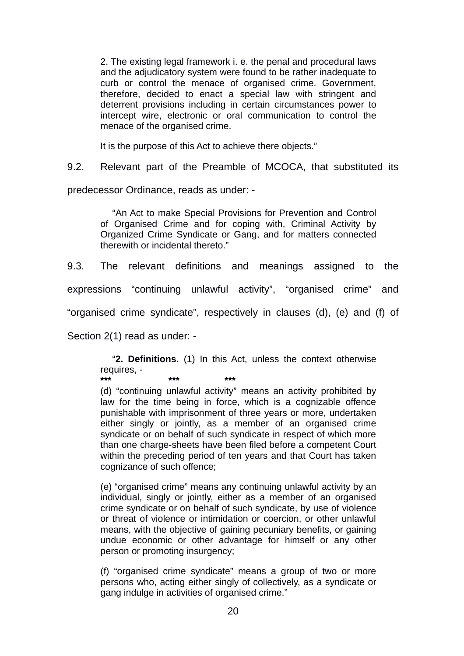2. The existing legal framework i. e. the penal and procedural laws and the adjudicatory system were found to be rather inadequate to curb or control the menace of organised crime. Government, therefore, decided to enact a special law with stringent and deterrent provisions including in certain circumstances power to intercept wire, electronic or oral communication to control the menace of the organised crime.

It is the purpose of this Act to achieve there objects."

9.2. Relevant part of the Preamble of MCOCA, that substituted its

predecessor Ordinance, reads as under: -

"An Act to make Special Provisions for Prevention and Control of Organised Crime and for coping with, Criminal Activity by Organized Crime Syndicate or Gang, and for matters connected therewith or incidental thereto."

9.3. The relevant definitions and meanings assigned to the

expressions "continuing unlawful activity", "organised crime" and

"organised crime syndicate", respectively in clauses (d), (e) and (f) of

Section 2(1) read as under: -

"**2. Definitions.** (1) In this Act, unless the context otherwise requires, - **\*\*\* \*\*\* \*\*\***

(d) "continuing unlawful activity" means an activity prohibited by law for the time being in force, which is a cognizable offence punishable with imprisonment of three years or more, undertaken either singly or jointly, as a member of an organised crime syndicate or on behalf of such syndicate in respect of which more than one charge-sheets have been filed before a competent Court within the preceding period of ten years and that Court has taken cognizance of such offence;

(e) "organised crime" means any continuing unlawful activity by an individual, singly or jointly, either as a member of an organised crime syndicate or on behalf of such syndicate, by use of violence or threat of violence or intimidation or coercion, or other unlawful means, with the objective of gaining pecuniary benefits, or gaining undue economic or other advantage for himself or any other person or promoting insurgency;

(f) "organised crime syndicate" means a group of two or more persons who, acting either singly of collectively, as a syndicate or gang indulge in activities of organised crime."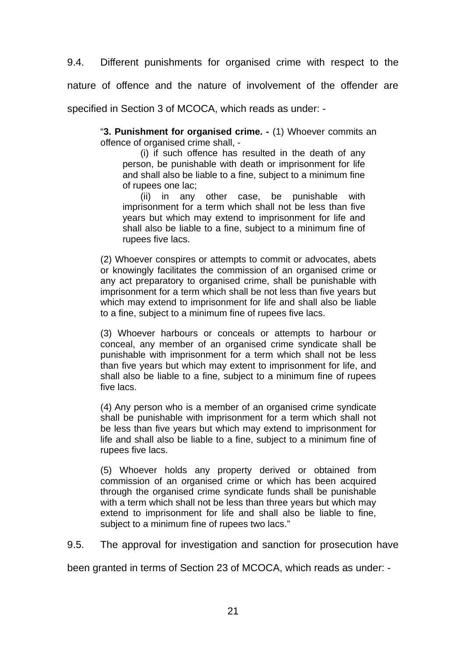9.4. Different punishments for organised crime with respect to the

nature of offence and the nature of involvement of the offender are

specified in Section 3 of MCOCA, which reads as under: -

"**3. Punishment for organised crime. -** (1) Whoever commits an offence of organised crime shall, -

(i) if such offence has resulted in the death of any person, be punishable with death or imprisonment for life and shall also be liable to a fine, subject to a minimum fine of rupees one lac;

(ii) in any other case, be punishable with imprisonment for a term which shall not be less than five years but which may extend to imprisonment for life and shall also be liable to a fine, subject to a minimum fine of rupees five lacs.

(2) Whoever conspires or attempts to commit or advocates, abets or knowingly facilitates the commission of an organised crime or any act preparatory to organised crime, shall be punishable with imprisonment for a term which shall be not less than five years but which may extend to imprisonment for life and shall also be liable to a fine, subject to a minimum fine of rupees five lacs.

(3) Whoever harbours or conceals or attempts to harbour or conceal, any member of an organised crime syndicate shall be punishable with imprisonment for a term which shall not be less than five years but which may extent to imprisonment for life, and shall also be liable to a fine, subject to a minimum fine of rupees five lacs.

(4) Any person who is a member of an organised crime syndicate shall be punishable with imprisonment for a term which shall not be less than five years but which may extend to imprisonment for life and shall also be liable to a fine, subject to a minimum fine of rupees five lacs.

(5) Whoever holds any property derived or obtained from commission of an organised crime or which has been acquired through the organised crime syndicate funds shall be punishable with a term which shall not be less than three years but which may extend to imprisonment for life and shall also be liable to fine, subject to a minimum fine of rupees two lacs."

9.5. The approval for investigation and sanction for prosecution have

been granted in terms of Section 23 of MCOCA, which reads as under: -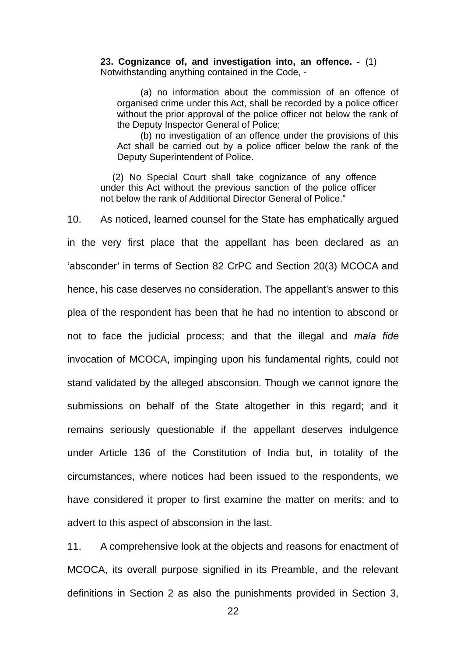**23. Cognizance of, and investigation into, an offence. -** (1) Notwithstanding anything contained in the Code, -

(a) no information about the commission of an offence of organised crime under this Act, shall be recorded by a police officer without the prior approval of the police officer not below the rank of the Deputy Inspector General of Police;

(b) no investigation of an offence under the provisions of this Act shall be carried out by a police officer below the rank of the Deputy Superintendent of Police.

(2) No Special Court shall take cognizance of any offence under this Act without the previous sanction of the police officer not below the rank of Additional Director General of Police."

10. As noticed, learned counsel for the State has emphatically argued in the very first place that the appellant has been declared as an 'absconder' in terms of Section 82 CrPC and Section 20(3) MCOCA and hence, his case deserves no consideration. The appellant's answer to this plea of the respondent has been that he had no intention to abscond or not to face the judicial process; and that the illegal and *mala fide* invocation of MCOCA, impinging upon his fundamental rights, could not stand validated by the alleged absconsion. Though we cannot ignore the submissions on behalf of the State altogether in this regard; and it remains seriously questionable if the appellant deserves indulgence under Article 136 of the Constitution of India but, in totality of the circumstances, where notices had been issued to the respondents, we have considered it proper to first examine the matter on merits; and to advert to this aspect of absconsion in the last.

11. A comprehensive look at the objects and reasons for enactment of MCOCA, its overall purpose signified in its Preamble, and the relevant definitions in Section 2 as also the punishments provided in Section 3,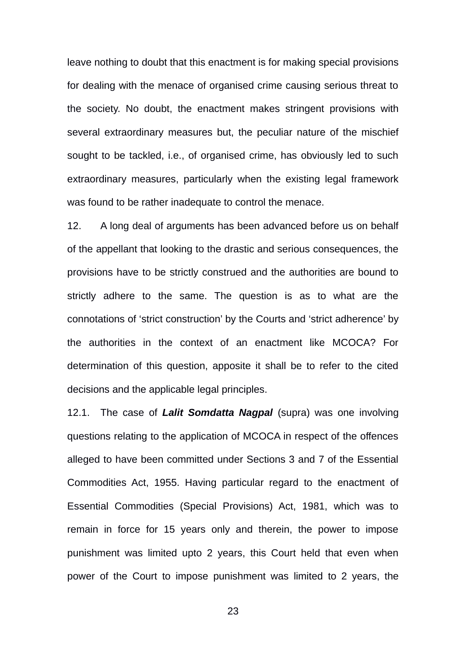leave nothing to doubt that this enactment is for making special provisions for dealing with the menace of organised crime causing serious threat to the society. No doubt, the enactment makes stringent provisions with several extraordinary measures but, the peculiar nature of the mischief sought to be tackled, i.e., of organised crime, has obviously led to such extraordinary measures, particularly when the existing legal framework was found to be rather inadequate to control the menace.

12. A long deal of arguments has been advanced before us on behalf of the appellant that looking to the drastic and serious consequences, the provisions have to be strictly construed and the authorities are bound to strictly adhere to the same. The question is as to what are the connotations of 'strict construction' by the Courts and 'strict adherence' by the authorities in the context of an enactment like MCOCA? For determination of this question, apposite it shall be to refer to the cited decisions and the applicable legal principles.

12.1. The case of *Lalit Somdatta Nagpal* (supra) was one involving questions relating to the application of MCOCA in respect of the offences alleged to have been committed under Sections 3 and 7 of the Essential Commodities Act, 1955. Having particular regard to the enactment of Essential Commodities (Special Provisions) Act, 1981, which was to remain in force for 15 years only and therein, the power to impose punishment was limited upto 2 years, this Court held that even when power of the Court to impose punishment was limited to 2 years, the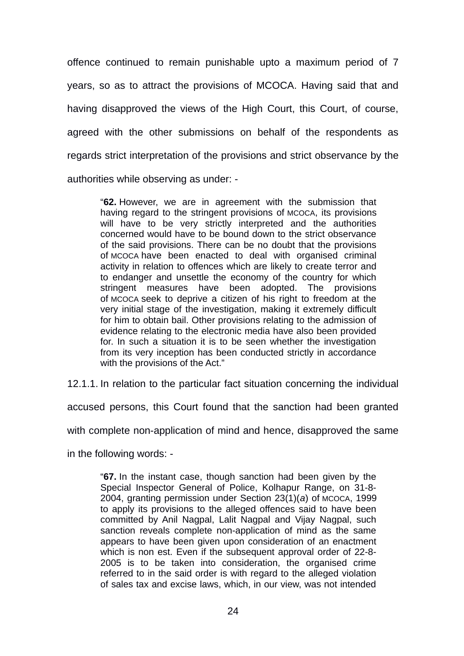offence continued to remain punishable upto a maximum period of 7 years, so as to attract the provisions of MCOCA. Having said that and having disapproved the views of the High Court, this Court, of course, agreed with the other submissions on behalf of the respondents as regards strict interpretation of the provisions and strict observance by the authorities while observing as under: -

"**62.** However, we are in agreement with the submission that having regard to the stringent provisions of MCOCA, its provisions will have to be very strictly interpreted and the authorities concerned would have to be bound down to the strict observance of the said provisions. There can be no doubt that the provisions of MCOCA have been enacted to deal with organised criminal activity in relation to offences which are likely to create terror and to endanger and unsettle the economy of the country for which stringent measures have been adopted. The provisions of MCOCA seek to deprive a citizen of his right to freedom at the very initial stage of the investigation, making it extremely difficult for him to obtain bail. Other provisions relating to the admission of evidence relating to the electronic media have also been provided for. In such a situation it is to be seen whether the investigation from its very inception has been conducted strictly in accordance with the provisions of the Act."

12.1.1. In relation to the particular fact situation concerning the individual

accused persons, this Court found that the sanction had been granted

with complete non-application of mind and hence, disapproved the same

in the following words: -

"**67.** In the instant case, though sanction had been given by the Special Inspector General of Police, Kolhapur Range, on 31-8- 2004, granting permission under Section 23(1)(*a*) of MCOCA, 1999 to apply its provisions to the alleged offences said to have been committed by Anil Nagpal, Lalit Nagpal and Vijay Nagpal, such sanction reveals complete non-application of mind as the same appears to have been given upon consideration of an enactment which is non est. Even if the subsequent approval order of 22-8- 2005 is to be taken into consideration, the organised crime referred to in the said order is with regard to the alleged violation of sales tax and excise laws, which, in our view, was not intended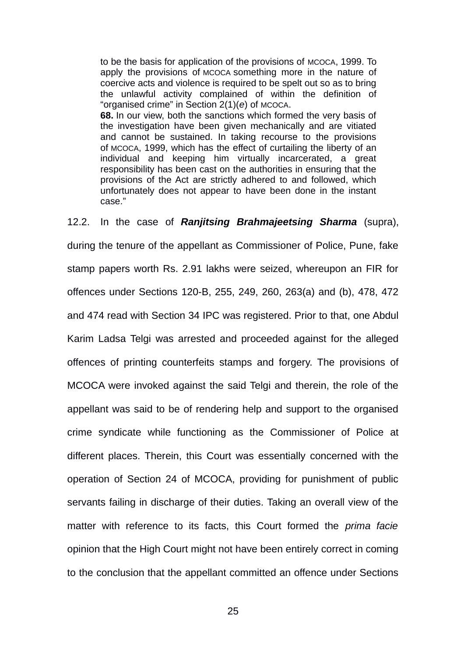to be the basis for application of the provisions of MCOCA, 1999. To apply the provisions of MCOCA something more in the nature of coercive acts and violence is required to be spelt out so as to bring the unlawful activity complained of within the definition of "organised crime" in Section 2(1)(*e*) of MCOCA.

**68.** In our view, both the sanctions which formed the very basis of the investigation have been given mechanically and are vitiated and cannot be sustained. In taking recourse to the provisions of MCOCA, 1999, which has the effect of curtailing the liberty of an individual and keeping him virtually incarcerated, a great responsibility has been cast on the authorities in ensuring that the provisions of the Act are strictly adhered to and followed, which unfortunately does not appear to have been done in the instant case."

12.2. In the case of *Ranjitsing Brahmajeetsing Sharma* (supra), during the tenure of the appellant as Commissioner of Police, Pune, fake stamp papers worth Rs. 2.91 lakhs were seized, whereupon an FIR for offences under Sections 120-B, 255, 249, 260, 263(a) and (b), 478, 472 and 474 read with Section 34 IPC was registered. Prior to that, one Abdul Karim Ladsa Telgi was arrested and proceeded against for the alleged offences of printing counterfeits stamps and forgery. The provisions of MCOCA were invoked against the said Telgi and therein, the role of the appellant was said to be of rendering help and support to the organised crime syndicate while functioning as the Commissioner of Police at different places. Therein, this Court was essentially concerned with the operation of Section 24 of MCOCA, providing for punishment of public servants failing in discharge of their duties. Taking an overall view of the matter with reference to its facts, this Court formed the *prima facie* opinion that the High Court might not have been entirely correct in coming to the conclusion that the appellant committed an offence under Sections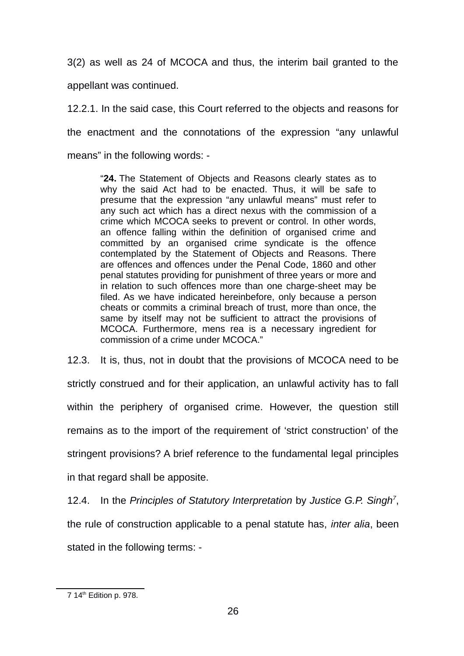3(2) as well as 24 of MCOCA and thus, the interim bail granted to the

appellant was continued.

12.2.1. In the said case, this Court referred to the objects and reasons for the enactment and the connotations of the expression "any unlawful means" in the following words: -

"**24.** The Statement of Objects and Reasons clearly states as to why the said Act had to be enacted. Thus, it will be safe to presume that the expression "any unlawful means" must refer to any such act which has a direct nexus with the commission of a crime which MCOCA seeks to prevent or control. In other words, an offence falling within the definition of organised crime and committed by an organised crime syndicate is the offence contemplated by the Statement of Objects and Reasons. There are offences and offences under the Penal Code, 1860 and other penal statutes providing for punishment of three years or more and in relation to such offences more than one charge-sheet may be filed. As we have indicated hereinbefore, only because a person cheats or commits a criminal breach of trust, more than once, the same by itself may not be sufficient to attract the provisions of MCOCA. Furthermore, mens rea is a necessary ingredient for commission of a crime under MCOCA."

12.3. It is, thus, not in doubt that the provisions of MCOCA need to be strictly construed and for their application, an unlawful activity has to fall within the periphery of organised crime. However, the question still remains as to the import of the requirement of 'strict construction' of the stringent provisions? A brief reference to the fundamental legal principles in that regard shall be apposite.

12.4. In the *Principles of Statutory Interpretation* by *Justice G.P. Singh[7](#page-25-0)* , the rule of construction applicable to a penal statute has, *inter alia*, been stated in the following terms: -

<span id="page-25-0"></span><sup>7</sup> 14th Edition p. 978.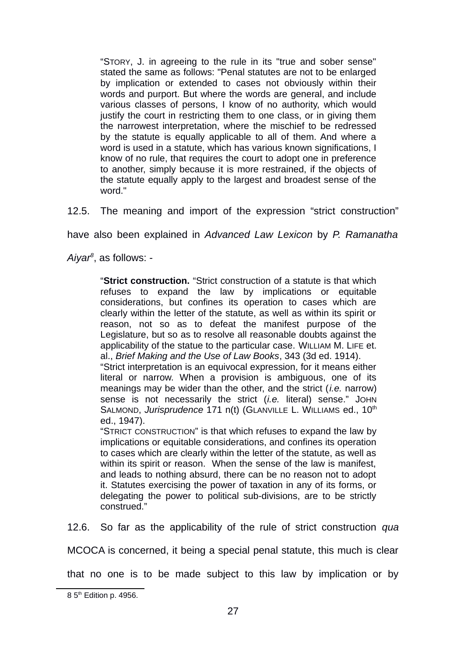"STORY, J. in agreeing to the rule in its "true and sober sense" stated the same as follows: "Penal statutes are not to be enlarged by implication or extended to cases not obviously within their words and purport. But where the words are general, and include various classes of persons, I know of no authority, which would justify the court in restricting them to one class, or in giving them the narrowest interpretation, where the mischief to be redressed by the statute is equally applicable to all of them. And where a word is used in a statute, which has various known significations, I know of no rule, that requires the court to adopt one in preference to another, simply because it is more restrained, if the objects of the statute equally apply to the largest and broadest sense of the word."

12.5. The meaning and import of the expression "strict construction"

have also been explained in *Advanced Law Lexicon* by *P. Ramanatha*

*Aiyar[8](#page-26-0)* , as follows: -

"**Strict construction.** "Strict construction of a statute is that which refuses to expand the law by implications or equitable considerations, but confines its operation to cases which are clearly within the letter of the statute, as well as within its spirit or reason, not so as to defeat the manifest purpose of the Legislature, but so as to resolve all reasonable doubts against the applicability of the statue to the particular case. WILLIAM M. LIFE et. al., *Brief Making and the Use of Law Books*, 343 (3d ed. 1914).

"Strict interpretation is an equivocal expression, for it means either literal or narrow. When a provision is ambiguous, one of its meanings may be wider than the other, and the strict (*i.e.* narrow) sense is not necessarily the strict (*i.e.* literal) sense." JOHN SALMOND, *Jurisprudence* 171 n(t) (GLANVILLE L. WILLIAMS ed., 10<sup>th</sup> ed., 1947).

"STRICT CONSTRUCTION" is that which refuses to expand the law by implications or equitable considerations, and confines its operation to cases which are clearly within the letter of the statute, as well as within its spirit or reason. When the sense of the law is manifest, and leads to nothing absurd, there can be no reason not to adopt it. Statutes exercising the power of taxation in any of its forms, or delegating the power to political sub-divisions, are to be strictly construed."

12.6. So far as the applicability of the rule of strict construction *qua*

MCOCA is concerned, it being a special penal statute, this much is clear

that no one is to be made subject to this law by implication or by

<span id="page-26-0"></span><sup>8 5&</sup>lt;sup>th</sup> Edition p. 4956.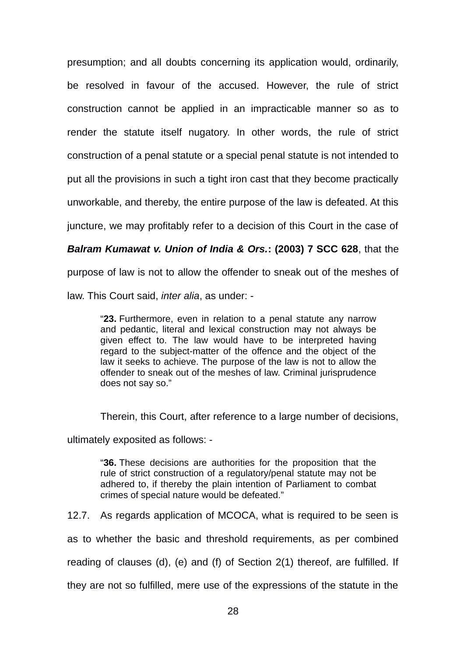presumption; and all doubts concerning its application would, ordinarily, be resolved in favour of the accused. However, the rule of strict construction cannot be applied in an impracticable manner so as to render the statute itself nugatory. In other words, the rule of strict construction of a penal statute or a special penal statute is not intended to put all the provisions in such a tight iron cast that they become practically unworkable, and thereby, the entire purpose of the law is defeated. At this juncture, we may profitably refer to a decision of this Court in the case of

*Balram Kumawat v. Union of India & Ors.***: (2003) 7 SCC 628**, that the

purpose of law is not to allow the offender to sneak out of the meshes of

law. This Court said, *inter alia*, as under: -

"**23.** Furthermore, even in relation to a penal statute any narrow and pedantic, literal and lexical construction may not always be given effect to. The law would have to be interpreted having regard to the subject-matter of the offence and the object of the law it seeks to achieve. The purpose of the law is not to allow the offender to sneak out of the meshes of law. Criminal jurisprudence does not say so."

Therein, this Court, after reference to a large number of decisions,

ultimately exposited as follows: -

"**36.** These decisions are authorities for the proposition that the rule of strict construction of a regulatory/penal statute may not be adhered to, if thereby the plain intention of Parliament to combat crimes of special nature would be defeated."

12.7. As regards application of MCOCA, what is required to be seen is

as to whether the basic and threshold requirements, as per combined

reading of clauses (d), (e) and (f) of Section 2(1) thereof, are fulfilled. If

they are not so fulfilled, mere use of the expressions of the statute in the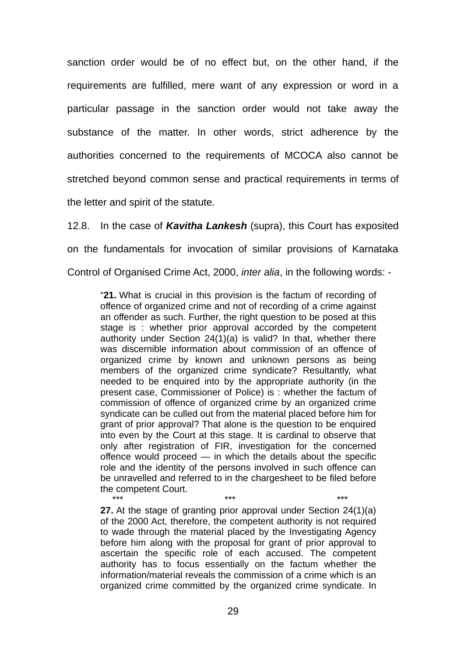sanction order would be of no effect but, on the other hand, if the requirements are fulfilled, mere want of any expression or word in a particular passage in the sanction order would not take away the substance of the matter. In other words, strict adherence by the authorities concerned to the requirements of MCOCA also cannot be stretched beyond common sense and practical requirements in terms of the letter and spirit of the statute.

12.8. In the case of *Kavitha Lankesh* (supra), this Court has exposited on the fundamentals for invocation of similar provisions of Karnataka Control of Organised Crime Act, 2000, *inter alia*, in the following words: -

"**21.** What is crucial in this provision is the factum of recording of offence of organized crime and not of recording of a crime against an offender as such. Further, the right question to be posed at this stage is : whether prior approval accorded by the competent authority under Section 24(1)(a) is valid? In that, whether there was discernible information about commission of an offence of organized crime by known and unknown persons as being members of the organized crime syndicate? Resultantly, what needed to be enquired into by the appropriate authority (in the present case, Commissioner of Police) is : whether the factum of commission of offence of organized crime by an organized crime syndicate can be culled out from the material placed before him for grant of prior approval? That alone is the question to be enquired into even by the Court at this stage. It is cardinal to observe that only after registration of FIR, investigation for the concerned offence would proceed — in which the details about the specific role and the identity of the persons involved in such offence can be unravelled and referred to in the chargesheet to be filed before the competent Court.

\*\*\* \*\*\* \*\*\* **27.** At the stage of granting prior approval under Section 24(1)(a) of the 2000 Act, therefore, the competent authority is not required to wade through the material placed by the Investigating Agency before him along with the proposal for grant of prior approval to ascertain the specific role of each accused. The competent authority has to focus essentially on the factum whether the information/material reveals the commission of a crime which is an organized crime committed by the organized crime syndicate. In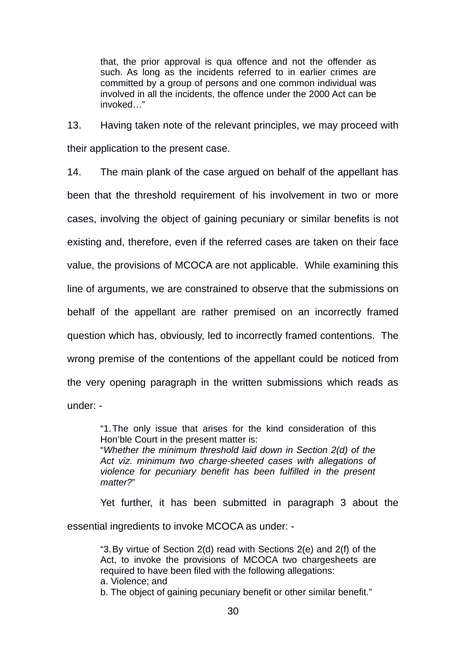that, the prior approval is qua offence and not the offender as such. As long as the incidents referred to in earlier crimes are committed by a group of persons and one common individual was involved in all the incidents, the offence under the 2000 Act can be invoked…"

13. Having taken note of the relevant principles, we may proceed with their application to the present case.

14. The main plank of the case argued on behalf of the appellant has been that the threshold requirement of his involvement in two or more cases, involving the object of gaining pecuniary or similar benefits is not existing and, therefore, even if the referred cases are taken on their face value, the provisions of MCOCA are not applicable. While examining this line of arguments, we are constrained to observe that the submissions on behalf of the appellant are rather premised on an incorrectly framed question which has, obviously, led to incorrectly framed contentions. The wrong premise of the contentions of the appellant could be noticed from the very opening paragraph in the written submissions which reads as under: -

"1.The only issue that arises for the kind consideration of this Hon'ble Court in the present matter is:

"*Whether the minimum threshold laid down in Section 2(d) of the Act viz. minimum two charge-sheeted cases with allegations of violence for pecuniary benefit has been fulfilled in the present matter?*"

Yet further, it has been submitted in paragraph 3 about the essential ingredients to invoke MCOCA as under: -

"3.By virtue of Section 2(d) read with Sections 2(e) and 2(f) of the Act, to invoke the provisions of MCOCA two chargesheets are required to have been filed with the following allegations: a. Violence; and b. The object of gaining pecuniary benefit or other similar benefit."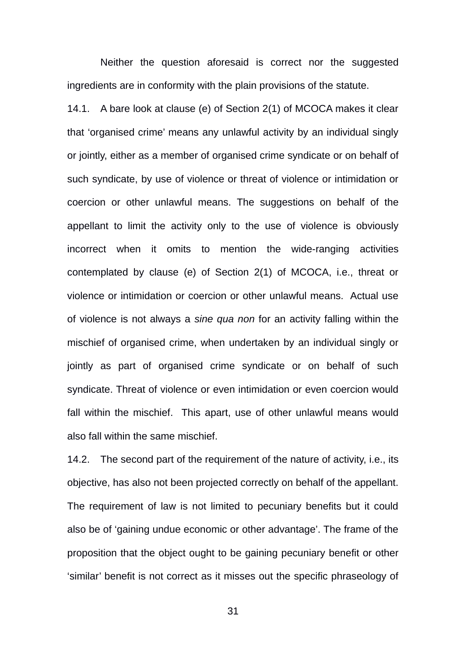Neither the question aforesaid is correct nor the suggested ingredients are in conformity with the plain provisions of the statute.

14.1. A bare look at clause (e) of Section 2(1) of MCOCA makes it clear that 'organised crime' means any unlawful activity by an individual singly or jointly, either as a member of organised crime syndicate or on behalf of such syndicate, by use of violence or threat of violence or intimidation or coercion or other unlawful means. The suggestions on behalf of the appellant to limit the activity only to the use of violence is obviously incorrect when it omits to mention the wide-ranging activities contemplated by clause (e) of Section 2(1) of MCOCA, i.e., threat or violence or intimidation or coercion or other unlawful means. Actual use of violence is not always a *sine qua non* for an activity falling within the mischief of organised crime, when undertaken by an individual singly or jointly as part of organised crime syndicate or on behalf of such syndicate. Threat of violence or even intimidation or even coercion would fall within the mischief. This apart, use of other unlawful means would also fall within the same mischief.

14.2. The second part of the requirement of the nature of activity, i.e., its objective, has also not been projected correctly on behalf of the appellant. The requirement of law is not limited to pecuniary benefits but it could also be of 'gaining undue economic or other advantage'. The frame of the proposition that the object ought to be gaining pecuniary benefit or other 'similar' benefit is not correct as it misses out the specific phraseology of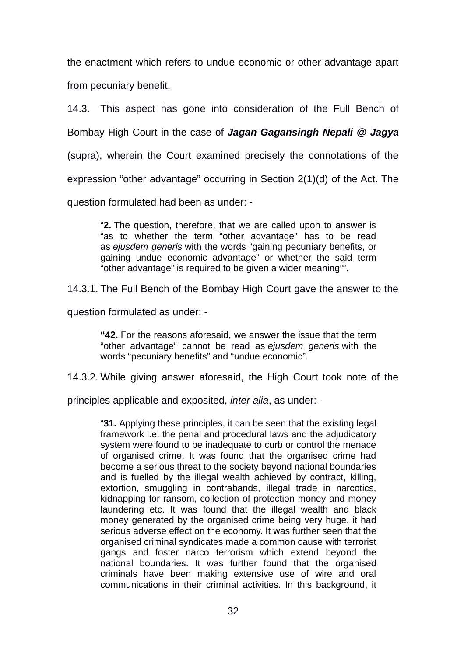the enactment which refers to undue economic or other advantage apart from pecuniary benefit.

14.3. This aspect has gone into consideration of the Full Bench of Bombay High Court in the case of *Jagan Gagansingh Nepali @ Jagya* (supra), wherein the Court examined precisely the connotations of the expression "other advantage" occurring in Section 2(1)(d) of the Act. The question formulated had been as under: -

"**2.** The question, therefore, that we are called upon to answer is "as to whether the term "other advantage" has to be read as *ejusdem generis* with the words "gaining pecuniary benefits, or gaining undue economic advantage" or whether the said term "other advantage" is required to be given a wider meaning"".

14.3.1. The Full Bench of the Bombay High Court gave the answer to the

question formulated as under: -

**"42.** For the reasons aforesaid, we answer the issue that the term "other advantage" cannot be read as *ejusdem generis* with the words "pecuniary benefits" and "undue economic".

14.3.2. While giving answer aforesaid, the High Court took note of the

principles applicable and exposited, *inter alia*, as under: -

"**31.** Applying these principles, it can be seen that the existing legal framework i.e. the penal and procedural laws and the adjudicatory system were found to be inadequate to curb or control the menace of organised crime. It was found that the organised crime had become a serious threat to the society beyond national boundaries and is fuelled by the illegal wealth achieved by contract, killing, extortion, smuggling in contrabands, illegal trade in narcotics, kidnapping for ransom, collection of protection money and money laundering etc. It was found that the illegal wealth and black money generated by the organised crime being very huge, it had serious adverse effect on the economy. It was further seen that the organised criminal syndicates made a common cause with terrorist gangs and foster narco terrorism which extend beyond the national boundaries. It was further found that the organised criminals have been making extensive use of wire and oral communications in their criminal activities. In this background, it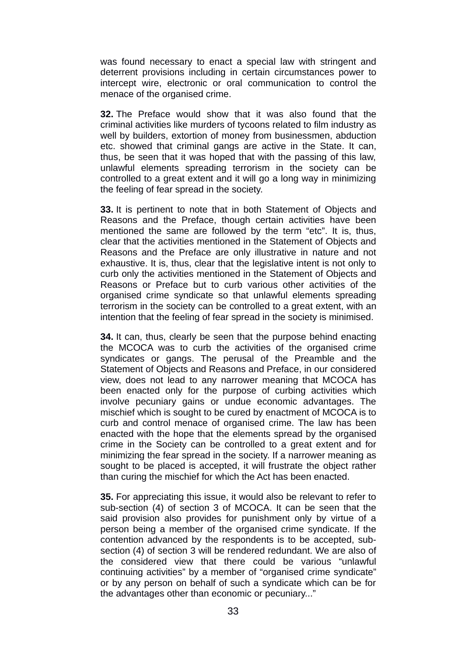was found necessary to enact a special law with stringent and deterrent provisions including in certain circumstances power to intercept wire, electronic or oral communication to control the menace of the organised crime.

**32.** The Preface would show that it was also found that the criminal activities like murders of tycoons related to film industry as well by builders, extortion of money from businessmen, abduction etc. showed that criminal gangs are active in the State. It can, thus, be seen that it was hoped that with the passing of this law, unlawful elements spreading terrorism in the society can be controlled to a great extent and it will go a long way in minimizing the feeling of fear spread in the society.

**33.** It is pertinent to note that in both Statement of Objects and Reasons and the Preface, though certain activities have been mentioned the same are followed by the term "etc". It is, thus, clear that the activities mentioned in the Statement of Objects and Reasons and the Preface are only illustrative in nature and not exhaustive. It is, thus, clear that the legislative intent is not only to curb only the activities mentioned in the Statement of Objects and Reasons or Preface but to curb various other activities of the organised crime syndicate so that unlawful elements spreading terrorism in the society can be controlled to a great extent, with an intention that the feeling of fear spread in the society is minimised.

**34.** It can, thus, clearly be seen that the purpose behind enacting the MCOCA was to curb the activities of the organised crime syndicates or gangs. The perusal of the Preamble and the Statement of Objects and Reasons and Preface, in our considered view, does not lead to any narrower meaning that MCOCA has been enacted only for the purpose of curbing activities which involve pecuniary gains or undue economic advantages. The mischief which is sought to be cured by enactment of MCOCA is to curb and control menace of organised crime. The law has been enacted with the hope that the elements spread by the organised crime in the Society can be controlled to a great extent and for minimizing the fear spread in the society. If a narrower meaning as sought to be placed is accepted, it will frustrate the object rather than curing the mischief for which the Act has been enacted.

**35.** For appreciating this issue, it would also be relevant to refer to sub-section (4) of section 3 of MCOCA. It can be seen that the said provision also provides for punishment only by virtue of a person being a member of the organised crime syndicate. If the contention advanced by the respondents is to be accepted, subsection (4) of section 3 will be rendered redundant. We are also of the considered view that there could be various "unlawful continuing activities" by a member of "organised crime syndicate" or by any person on behalf of such a syndicate which can be for the advantages other than economic or pecuniary..."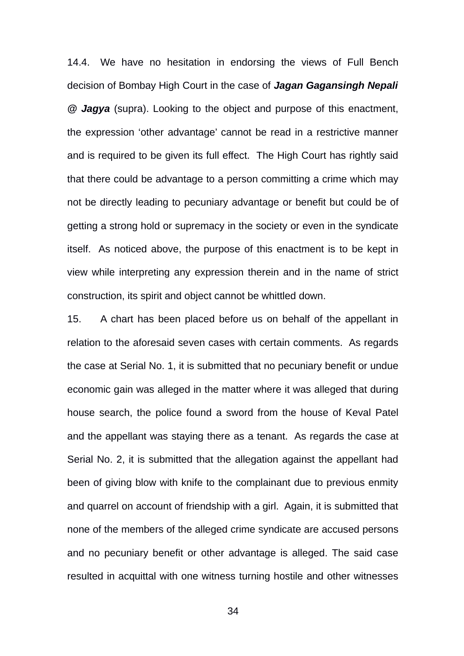14.4. We have no hesitation in endorsing the views of Full Bench decision of Bombay High Court in the case of *Jagan Gagansingh Nepali @ Jagya* (supra). Looking to the object and purpose of this enactment, the expression 'other advantage' cannot be read in a restrictive manner and is required to be given its full effect. The High Court has rightly said that there could be advantage to a person committing a crime which may not be directly leading to pecuniary advantage or benefit but could be of getting a strong hold or supremacy in the society or even in the syndicate itself. As noticed above, the purpose of this enactment is to be kept in view while interpreting any expression therein and in the name of strict construction, its spirit and object cannot be whittled down.

15. A chart has been placed before us on behalf of the appellant in relation to the aforesaid seven cases with certain comments. As regards the case at Serial No. 1, it is submitted that no pecuniary benefit or undue economic gain was alleged in the matter where it was alleged that during house search, the police found a sword from the house of Keval Patel and the appellant was staying there as a tenant. As regards the case at Serial No. 2, it is submitted that the allegation against the appellant had been of giving blow with knife to the complainant due to previous enmity and quarrel on account of friendship with a girl. Again, it is submitted that none of the members of the alleged crime syndicate are accused persons and no pecuniary benefit or other advantage is alleged. The said case resulted in acquittal with one witness turning hostile and other witnesses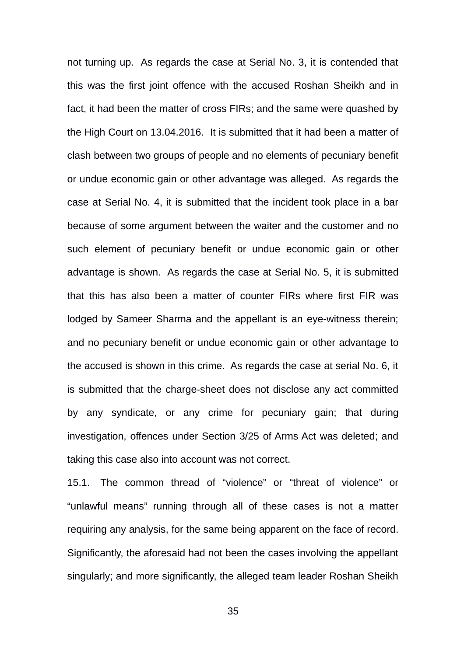not turning up. As regards the case at Serial No. 3, it is contended that this was the first joint offence with the accused Roshan Sheikh and in fact, it had been the matter of cross FIRs; and the same were quashed by the High Court on 13.04.2016. It is submitted that it had been a matter of clash between two groups of people and no elements of pecuniary benefit or undue economic gain or other advantage was alleged. As regards the case at Serial No. 4, it is submitted that the incident took place in a bar because of some argument between the waiter and the customer and no such element of pecuniary benefit or undue economic gain or other advantage is shown. As regards the case at Serial No. 5, it is submitted that this has also been a matter of counter FIRs where first FIR was lodged by Sameer Sharma and the appellant is an eye-witness therein; and no pecuniary benefit or undue economic gain or other advantage to the accused is shown in this crime. As regards the case at serial No. 6, it is submitted that the charge-sheet does not disclose any act committed by any syndicate, or any crime for pecuniary gain; that during investigation, offences under Section 3/25 of Arms Act was deleted; and taking this case also into account was not correct.

15.1. The common thread of "violence" or "threat of violence" or "unlawful means" running through all of these cases is not a matter requiring any analysis, for the same being apparent on the face of record. Significantly, the aforesaid had not been the cases involving the appellant singularly; and more significantly, the alleged team leader Roshan Sheikh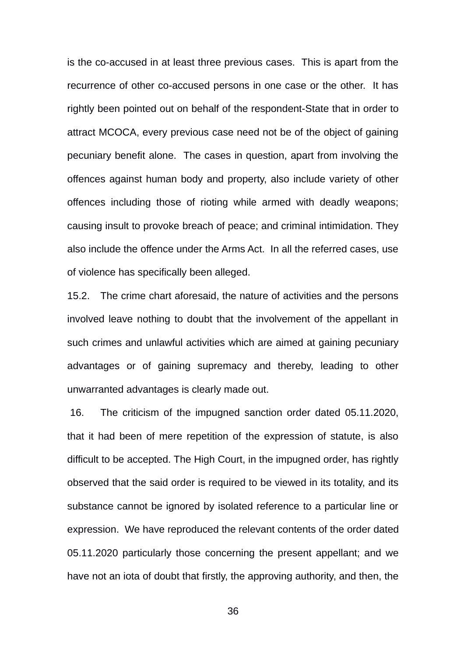is the co-accused in at least three previous cases. This is apart from the recurrence of other co-accused persons in one case or the other. It has rightly been pointed out on behalf of the respondent-State that in order to attract MCOCA, every previous case need not be of the object of gaining pecuniary benefit alone. The cases in question, apart from involving the offences against human body and property, also include variety of other offences including those of rioting while armed with deadly weapons; causing insult to provoke breach of peace; and criminal intimidation. They also include the offence under the Arms Act. In all the referred cases, use of violence has specifically been alleged.

15.2. The crime chart aforesaid, the nature of activities and the persons involved leave nothing to doubt that the involvement of the appellant in such crimes and unlawful activities which are aimed at gaining pecuniary advantages or of gaining supremacy and thereby, leading to other unwarranted advantages is clearly made out.

 16. The criticism of the impugned sanction order dated 05.11.2020, that it had been of mere repetition of the expression of statute, is also difficult to be accepted. The High Court, in the impugned order, has rightly observed that the said order is required to be viewed in its totality, and its substance cannot be ignored by isolated reference to a particular line or expression. We have reproduced the relevant contents of the order dated 05.11.2020 particularly those concerning the present appellant; and we have not an iota of doubt that firstly, the approving authority, and then, the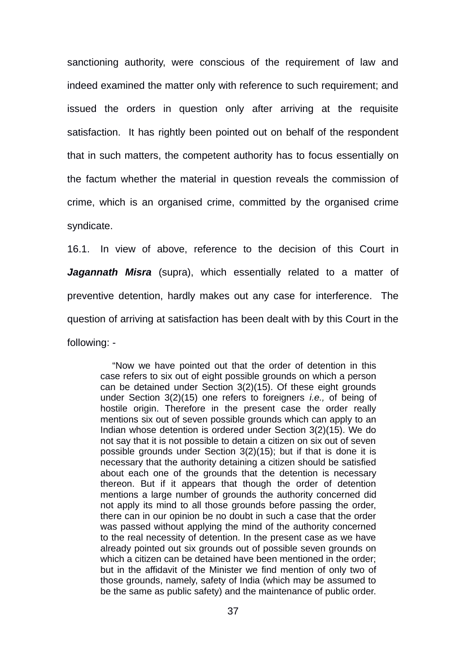sanctioning authority, were conscious of the requirement of law and indeed examined the matter only with reference to such requirement; and issued the orders in question only after arriving at the requisite satisfaction. It has rightly been pointed out on behalf of the respondent that in such matters, the competent authority has to focus essentially on the factum whether the material in question reveals the commission of crime, which is an organised crime, committed by the organised crime syndicate.

16.1. In view of above, reference to the decision of this Court in *Jagannath Misra* (supra), which essentially related to a matter of preventive detention, hardly makes out any case for interference. The question of arriving at satisfaction has been dealt with by this Court in the following: -

"Now we have pointed out that the order of detention in this case refers to six out of eight possible grounds on which a person can be detained under Section 3(2)(15). Of these eight grounds under Section 3(2)(15) one refers to foreigners *i.e.,* of being of hostile origin. Therefore in the present case the order really mentions six out of seven possible grounds which can apply to an Indian whose detention is ordered under Section 3(2)(15). We do not say that it is not possible to detain a citizen on six out of seven possible grounds under Section 3(2)(15); but if that is done it is necessary that the authority detaining a citizen should be satisfied about each one of the grounds that the detention is necessary thereon. But if it appears that though the order of detention mentions a large number of grounds the authority concerned did not apply its mind to all those grounds before passing the order, there can in our opinion be no doubt in such a case that the order was passed without applying the mind of the authority concerned to the real necessity of detention. In the present case as we have already pointed out six grounds out of possible seven grounds on which a citizen can be detained have been mentioned in the order; but in the affidavit of the Minister we find mention of only two of those grounds, namely, safety of India (which may be assumed to be the same as public safety) and the maintenance of public order.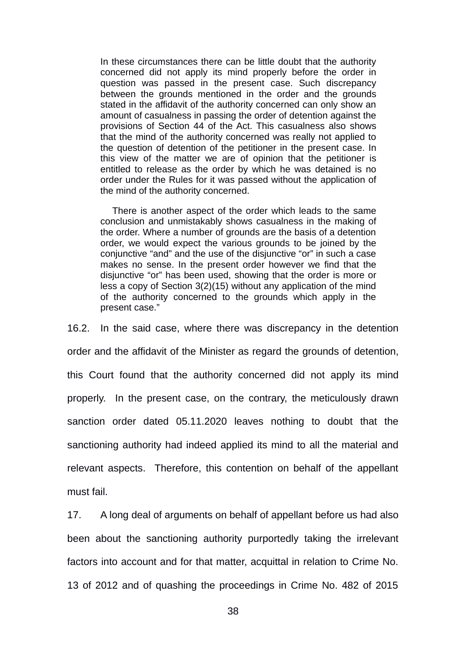In these circumstances there can be little doubt that the authority concerned did not apply its mind properly before the order in question was passed in the present case. Such discrepancy between the grounds mentioned in the order and the grounds stated in the affidavit of the authority concerned can only show an amount of casualness in passing the order of detention against the provisions of Section 44 of the Act. This casualness also shows that the mind of the authority concerned was really not applied to the question of detention of the petitioner in the present case. In this view of the matter we are of opinion that the petitioner is entitled to release as the order by which he was detained is no order under the Rules for it was passed without the application of the mind of the authority concerned.

There is another aspect of the order which leads to the same conclusion and unmistakably shows casualness in the making of the order. Where a number of grounds are the basis of a detention order, we would expect the various grounds to be joined by the conjunctive "and" and the use of the disjunctive "or" in such a case makes no sense. In the present order however we find that the disjunctive "or" has been used, showing that the order is more or less a copy of Section 3(2)(15) without any application of the mind of the authority concerned to the grounds which apply in the present case."

16.2. In the said case, where there was discrepancy in the detention order and the affidavit of the Minister as regard the grounds of detention, this Court found that the authority concerned did not apply its mind properly. In the present case, on the contrary, the meticulously drawn sanction order dated 05.11.2020 leaves nothing to doubt that the sanctioning authority had indeed applied its mind to all the material and relevant aspects. Therefore, this contention on behalf of the appellant must fail.

17. A long deal of arguments on behalf of appellant before us had also been about the sanctioning authority purportedly taking the irrelevant factors into account and for that matter, acquittal in relation to Crime No. 13 of 2012 and of quashing the proceedings in Crime No. 482 of 2015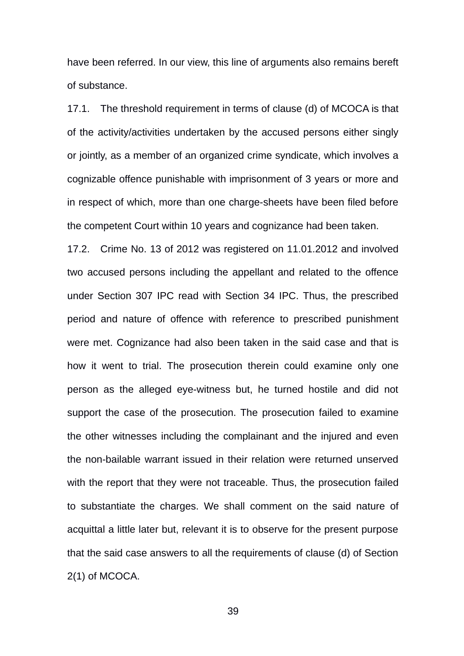have been referred. In our view, this line of arguments also remains bereft of substance.

17.1. The threshold requirement in terms of clause (d) of MCOCA is that of the activity/activities undertaken by the accused persons either singly or jointly, as a member of an organized crime syndicate, which involves a cognizable offence punishable with imprisonment of 3 years or more and in respect of which, more than one charge-sheets have been filed before the competent Court within 10 years and cognizance had been taken.

17.2. Crime No. 13 of 2012 was registered on 11.01.2012 and involved two accused persons including the appellant and related to the offence under Section 307 IPC read with Section 34 IPC. Thus, the prescribed period and nature of offence with reference to prescribed punishment were met. Cognizance had also been taken in the said case and that is how it went to trial. The prosecution therein could examine only one person as the alleged eye-witness but, he turned hostile and did not support the case of the prosecution. The prosecution failed to examine the other witnesses including the complainant and the injured and even the non-bailable warrant issued in their relation were returned unserved with the report that they were not traceable. Thus, the prosecution failed to substantiate the charges. We shall comment on the said nature of acquittal a little later but, relevant it is to observe for the present purpose that the said case answers to all the requirements of clause (d) of Section 2(1) of MCOCA.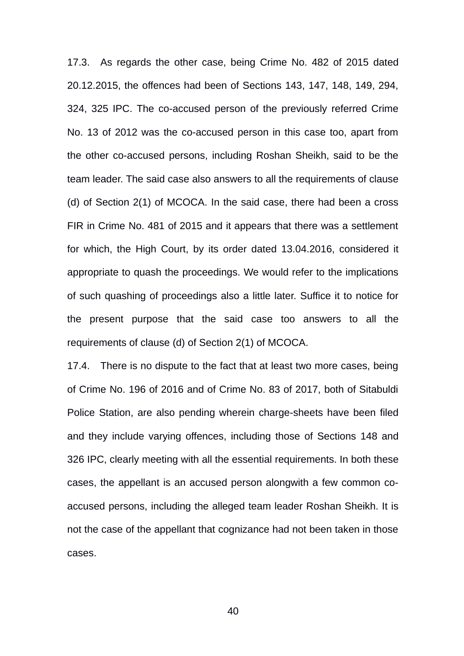17.3. As regards the other case, being Crime No. 482 of 2015 dated 20.12.2015, the offences had been of Sections 143, 147, 148, 149, 294, 324, 325 IPC. The co-accused person of the previously referred Crime No. 13 of 2012 was the co-accused person in this case too, apart from the other co-accused persons, including Roshan Sheikh, said to be the team leader. The said case also answers to all the requirements of clause (d) of Section 2(1) of MCOCA. In the said case, there had been a cross FIR in Crime No. 481 of 2015 and it appears that there was a settlement for which, the High Court, by its order dated 13.04.2016, considered it appropriate to quash the proceedings. We would refer to the implications of such quashing of proceedings also a little later. Suffice it to notice for the present purpose that the said case too answers to all the requirements of clause (d) of Section 2(1) of MCOCA.

17.4. There is no dispute to the fact that at least two more cases, being of Crime No. 196 of 2016 and of Crime No. 83 of 2017, both of Sitabuldi Police Station, are also pending wherein charge-sheets have been filed and they include varying offences, including those of Sections 148 and 326 IPC, clearly meeting with all the essential requirements. In both these cases, the appellant is an accused person alongwith a few common coaccused persons, including the alleged team leader Roshan Sheikh. It is not the case of the appellant that cognizance had not been taken in those cases.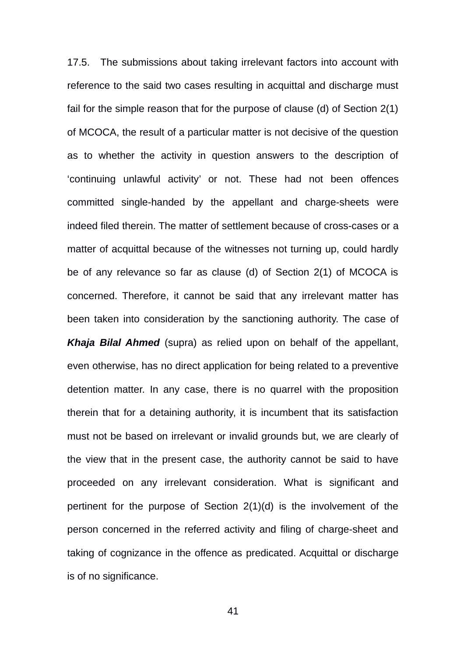17.5. The submissions about taking irrelevant factors into account with reference to the said two cases resulting in acquittal and discharge must fail for the simple reason that for the purpose of clause (d) of Section 2(1) of MCOCA, the result of a particular matter is not decisive of the question as to whether the activity in question answers to the description of 'continuing unlawful activity' or not. These had not been offences committed single-handed by the appellant and charge-sheets were indeed filed therein. The matter of settlement because of cross-cases or a matter of acquittal because of the witnesses not turning up, could hardly be of any relevance so far as clause (d) of Section 2(1) of MCOCA is concerned. Therefore, it cannot be said that any irrelevant matter has been taken into consideration by the sanctioning authority. The case of *Khaja Bilal Ahmed* (supra) as relied upon on behalf of the appellant, even otherwise, has no direct application for being related to a preventive detention matter. In any case, there is no quarrel with the proposition therein that for a detaining authority, it is incumbent that its satisfaction must not be based on irrelevant or invalid grounds but, we are clearly of the view that in the present case, the authority cannot be said to have proceeded on any irrelevant consideration. What is significant and pertinent for the purpose of Section 2(1)(d) is the involvement of the person concerned in the referred activity and filing of charge-sheet and taking of cognizance in the offence as predicated. Acquittal or discharge is of no significance.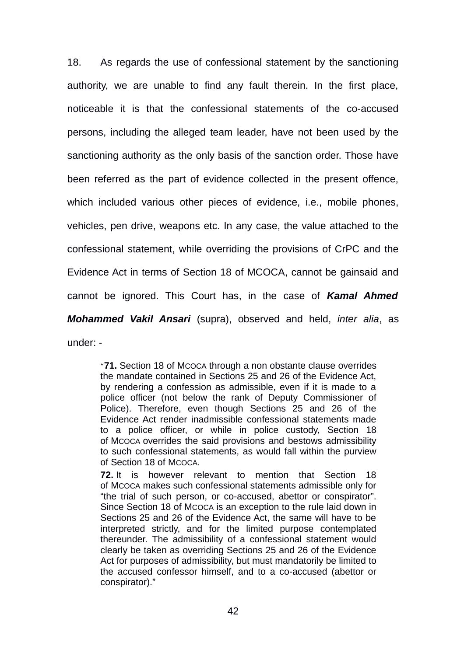18. As regards the use of confessional statement by the sanctioning authority, we are unable to find any fault therein. In the first place, noticeable it is that the confessional statements of the co-accused persons, including the alleged team leader, have not been used by the sanctioning authority as the only basis of the sanction order. Those have been referred as the part of evidence collected in the present offence, which included various other pieces of evidence, i.e., mobile phones, vehicles, pen drive, weapons etc. In any case, the value attached to the confessional statement, while overriding the provisions of CrPC and the Evidence Act in terms of Section 18 of MCOCA, cannot be gainsaid and cannot be ignored. This Court has, in the case of *Kamal Ahmed Mohammed Vakil Ansari* (supra), observed and held, *inter alia*, as under: -

"**71.** Section 18 of MCOCA through a non obstante clause overrides the mandate contained in Sections 25 and 26 of the Evidence Act, by rendering a confession as admissible, even if it is made to a police officer (not below the rank of Deputy Commissioner of Police). Therefore, even though Sections 25 and 26 of the Evidence Act render inadmissible confessional statements made to a police officer, or while in police custody, Section 18 of MCOCA overrides the said provisions and bestows admissibility to such confessional statements, as would fall within the purview of Section 18 of MCOCA.

**72.** It is however relevant to mention that Section 18 of MCOCA makes such confessional statements admissible only for "the trial of such person, or co-accused, abettor or conspirator". Since Section 18 of MCOCA is an exception to the rule laid down in Sections 25 and 26 of the Evidence Act, the same will have to be interpreted strictly, and for the limited purpose contemplated thereunder. The admissibility of a confessional statement would clearly be taken as overriding Sections 25 and 26 of the Evidence Act for purposes of admissibility, but must mandatorily be limited to the accused confessor himself, and to a co-accused (abettor or conspirator)."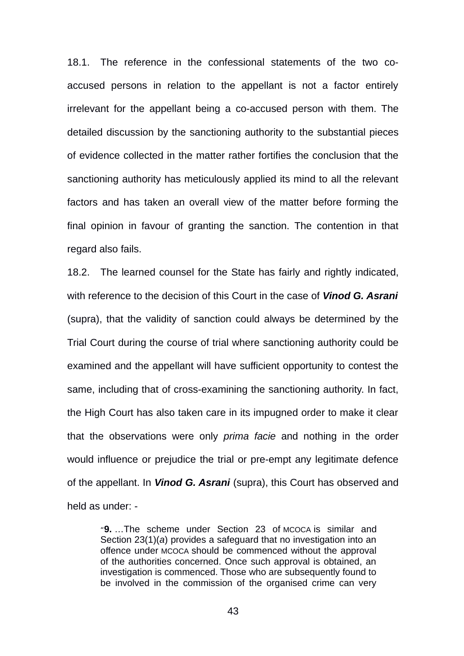18.1. The reference in the confessional statements of the two coaccused persons in relation to the appellant is not a factor entirely irrelevant for the appellant being a co-accused person with them. The detailed discussion by the sanctioning authority to the substantial pieces of evidence collected in the matter rather fortifies the conclusion that the sanctioning authority has meticulously applied its mind to all the relevant factors and has taken an overall view of the matter before forming the final opinion in favour of granting the sanction. The contention in that regard also fails.

18.2. The learned counsel for the State has fairly and rightly indicated. with reference to the decision of this Court in the case of *Vinod G. Asrani* (supra), that the validity of sanction could always be determined by the Trial Court during the course of trial where sanctioning authority could be examined and the appellant will have sufficient opportunity to contest the same, including that of cross-examining the sanctioning authority. In fact, the High Court has also taken care in its impugned order to make it clear that the observations were only *prima facie* and nothing in the order would influence or prejudice the trial or pre-empt any legitimate defence of the appellant. In *Vinod G. Asrani* (supra), this Court has observed and held as under: -

"**9.** …The scheme under Section 23 of MCOCA is similar and Section 23(1)(*a*) provides a safeguard that no investigation into an offence under MCOCA should be commenced without the approval of the authorities concerned. Once such approval is obtained, an investigation is commenced. Those who are subsequently found to be involved in the commission of the organised crime can very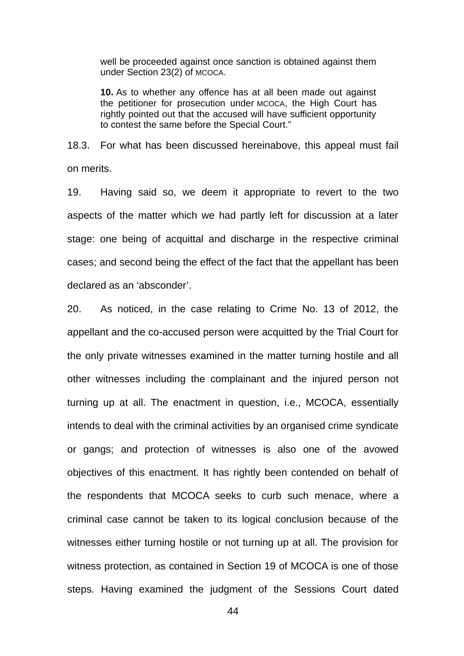well be proceeded against once sanction is obtained against them under Section 23(2) of MCOCA.

**10.** As to whether any offence has at all been made out against the petitioner for prosecution under MCOCA, the High Court has rightly pointed out that the accused will have sufficient opportunity to contest the same before the Special Court."

18.3. For what has been discussed hereinabove, this appeal must fail on merits.

19. Having said so, we deem it appropriate to revert to the two aspects of the matter which we had partly left for discussion at a later stage: one being of acquittal and discharge in the respective criminal cases; and second being the effect of the fact that the appellant has been declared as an 'absconder'.

20. As noticed, in the case relating to Crime No. 13 of 2012, the appellant and the co-accused person were acquitted by the Trial Court for the only private witnesses examined in the matter turning hostile and all other witnesses including the complainant and the injured person not turning up at all. The enactment in question, i.e., MCOCA, essentially intends to deal with the criminal activities by an organised crime syndicate or gangs; and protection of witnesses is also one of the avowed objectives of this enactment. It has rightly been contended on behalf of the respondents that MCOCA seeks to curb such menace, where a criminal case cannot be taken to its logical conclusion because of the witnesses either turning hostile or not turning up at all. The provision for witness protection, as contained in Section 19 of MCOCA is one of those steps. Having examined the judgment of the Sessions Court dated

 $\Delta\Delta$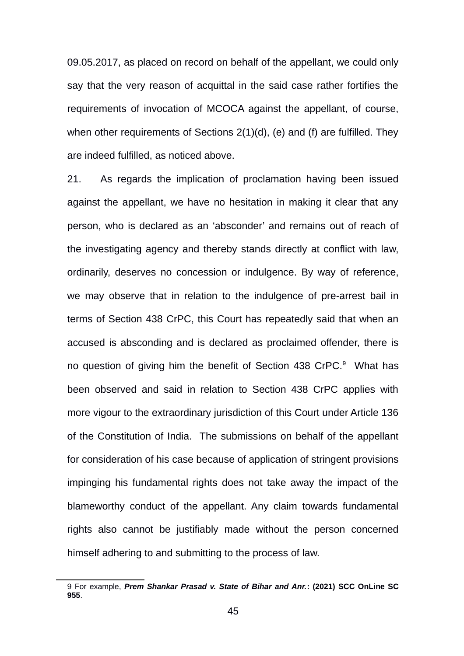09.05.2017, as placed on record on behalf of the appellant, we could only say that the very reason of acquittal in the said case rather fortifies the requirements of invocation of MCOCA against the appellant, of course, when other requirements of Sections 2(1)(d), (e) and (f) are fulfilled. They are indeed fulfilled, as noticed above.

21. As regards the implication of proclamation having been issued against the appellant, we have no hesitation in making it clear that any person, who is declared as an 'absconder' and remains out of reach of the investigating agency and thereby stands directly at conflict with law, ordinarily, deserves no concession or indulgence. By way of reference, we may observe that in relation to the indulgence of pre-arrest bail in terms of Section 438 CrPC, this Court has repeatedly said that when an accused is absconding and is declared as proclaimed offender, there is no question of giving him the benefit of Section 438 CrPC.<sup>[9](#page-44-0)</sup> What has been observed and said in relation to Section 438 CrPC applies with more vigour to the extraordinary jurisdiction of this Court under Article 136 of the Constitution of India. The submissions on behalf of the appellant for consideration of his case because of application of stringent provisions impinging his fundamental rights does not take away the impact of the blameworthy conduct of the appellant. Any claim towards fundamental rights also cannot be justifiably made without the person concerned himself adhering to and submitting to the process of law.

<span id="page-44-0"></span><sup>9</sup> For example, *Prem Shankar Prasad v. State of Bihar and Anr.***: (2021) SCC OnLine SC 955**.